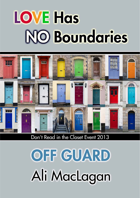# **LOVE Has NO Boundaries**



Don't Read in the Closet Event 2013

OFF GUARD Ali MacLagan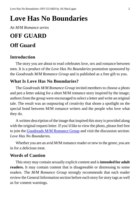# **Love Has No Boundaries**

*An M/M Romance series*

# **OFF GUARD Off Guard**

## **Introduction**

The story you are about to read celebrates love, sex and romance between men. It is a product of the *Love Has No Boundaries* promotion sponsored by the *Goodreads M/M Romance Group* and is published as a free gift to you.

# **What Is Love Has No Boundaries?**

The *Goodreads M/M Romance Group* invited members to choose a photo and pen a letter asking for a short M/M romance story inspired by the image; authors from the group were encouraged to select a letter and write an original tale. The result was an outpouring of creativity that shone a spotlight on the special bond between M/M romance writers and the people who love what they do.

A written description of the image that inspired this story is provided along with the original request letter. If you'd like to view the photo, please feel free to join the [Goodreads M/M Romance Group](http://www.goodreads.com/group/show/20149-m-m-romance) and visit the discussion section: *Love Has No Boundaries*.

Whether you are an avid M/M romance reader or new to the genre, you are in for a delicious treat.

## **Words of Caution**

This story may contain sexually explicit content and is **intended for adult readers.** It may contain content that is disagreeable or distressing to some readers. The *M/M Romance Group* strongly recommends that each reader review the General Information section before each story for story tags as well as for content warnings.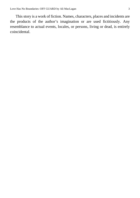This story is a work of fiction. Names, characters, places and incidents are the products of the author's imagination or are used fictitiously. Any resemblance to actual events, locales, or persons, living or dead, is entirely coincidental.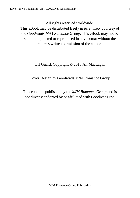All rights reserved worldwide.

This eBook may be distributed freely in its entirety courtesy of the *Goodreads M/M Romance Group*. This eBook may not be sold, manipulated or reproduced in any format without the express written permission of the author.

Off Guard, Copyright © 2013 Ali MacLagan

Cover Design by Goodreads M/M Romance Group

This ebook is published by the *M/M Romance Group* and is not directly endorsed by or affiliated with Goodreads Inc.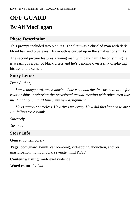# **OFF GUARD By Ali MacLagan**

## **Photo Description**

This prompt included two pictures. The first was a chiseled man with dark blond hair and blue eyes. His mouth is curved up in the smallest of smirks.

The second picture features a young man with dark hair. The only thing he is wearing is a pair of black briefs and he's bending over a sink displaying his ass to the camera.

## **Story Letter**

#### *Dear Author*,

*I am a bodyguard, an ex-marine. I have not had the time or inclination for relationships, preferring the occasional casual meeting with other men like me. Until now… until him… my new assignment.*

*He is utterly shameless. He drives me crazy. How did this happen to me? I'm falling for a twink.*

*Sincerely,*

*Susan A*

## **Story Info**

**Genre:** contemporary

**Tags:** bodyguard, twink, car bombing, kidnapping/abduction, shower masturbation, homophobia, revenge, mild PTSD

**Content warning:** mid-level violence

**Word count:** 24,344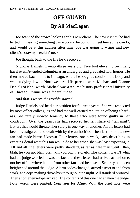# **OFF GUARD By Ali MacLagan**

Joe scanned the crowd looking for his new client. The new client who had texted him saying something came up and he couldn't meet him at the condo, and would be at this address after nine. Joe was going to wring said new client's scrawny, freakin' neck.

Joe thought back to the file he'd received:

Nicholas Daniels. Twenty-three years old. Five foot eleven, brown hair, hazel eyes. Attended Columbia as an undergrad and graduated with honors. He then moved back home to Chicago, where he bought a condo in the Loop and was studying law at Northwestern. His parents were Michael and Dianne Daniels of Kenilworth. Michael was a tenured history professor at University of Chicago. Dianne was a federal judge.

#### *And that's where the trouble started.*

Judge Daniels had held her position for fourteen years. She was respected by most of her colleagues and had the well-earned reputation of being a hardass. She rarely showed leniency to those who were found guilty in her courtroom. Over the years, she had received her fair share of "fan mail". Letters that would threaten her safety in one way or another. All the letters had been investigated, and dealt with by the authorities. Then last month, a new fan had made himself known. Four letters, one a week, each describing in exacting detail what this fan would do to her when she was least expecting it. All and all, the letters were pretty standard, as far as hate mail went. Blah, blah, tie you up, blah, blah, kill you bitch, etc, etc. The content wasn't what had the judge worried. It was the fact that these letters had arrived at her home, not her office where letters from other fans had been sent. Security had been heightened around the judge. Alarm codes changed, armed escort to and from work, and cops making drive-bys throughout the night. All standard protocol. Then another envelope arrived. The contents of this one had shaken the judge. Four words were printed: *Your son for Mine.* With the brief note were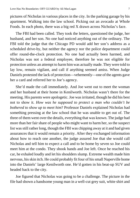pictures of Nicholas in various places in the city. In the parking garage by his apartment. Walking into the law school. Picking out an avocado at Whole Foods. In each photo, there was a big red X drawn across Nicholas's face.

The FBI had been called. They took the letters, questioned the judge, her husband, and her son. No one had noticed anything out of the ordinary. The FBI told the judge that the Chicago PD would add her son's address as a scheduled drive-by, but neither the agency nor the police department could offer round-the-clock protection. No one had actually been harmed, and Nicholas was not a federal employee, therefore he was not eligible for protection unless an attempt to harm himwas actually made. They were told to lay low, remain vigilant, and call if anything seemed amiss. When Judge Daniels protested the lack of protection—vehemently—one of the agents gave her a card and referred her to Joe's agency.

She'd made the call immediately. And Joe went out to meet the woman and her husband at their home in Kenilworth. Nicholas wasn't there for the meeting. His parents were apologetic. Joe was irritated, though he did his best not to show it. *How was he supposed to protect a man who couldn't be bothered to show up to meet him*? Professor Daniels explained Nicholas had something pressing at the law school that he was unable to get out of. The three of them went over the details, everything that was known. The judge had more than her fair share of people who might want to harm her, so the suspect list was still rather long, though the FBI was chipping away at it and had given assurances that it would remain a priority. After they exchanged information about how to reach one another, the judge assured Joe that she would call Nicholas and tell him to expect a call and to be home by seven so Joe could meet him at the condo. They shook hands and Joe left. Once he reached his car, he exhaled loudly and let his shoulders slump. Extreme wealth made him nervous, his skin itch. He could probably fit four of his small Naperville home into the Daniels' large Kenilworth one. He'd gotten in his beat-up SUV and headed back to the city.

Joe figured that Nicholas was going to be a challenge. The picture in the file had shown a handsome young man in a well-cut grey suit, white shirt and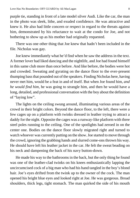purple tie, standing in front of a late model silver Audi. Like the car, the man in the photo was sleek, lithe, and exuded confidence. He was attractive and knew it. He also had little concern or respect in regard to the threats against him, demonstrated by his reluctance to wait at the condo for Joe, and not bothering to show up as his mother had originally requested.

There was one other thing that Joe knew that hadn't been included in the file. Nicholas was gay.

Joe knew immediately what he'd find when he saw the address in the text. A former lover had liked dancing and the nightlife, and Joe had found himself in this same club more than once before. And like before, the bodies were hot and crowded. Sweating and gyrating on the dance floor to the ever-present thumping bass that pounded out of the speakers. Finding Nicholas here, having never met him, would be a feat in and of itself. But when Joe found him, *and he would find him*, he was going to strangle him, and then he would have a long, detailed, and professional conversation with the boy about the definition of "laying low".

The lights on the ceiling swung around, illuminating various areas of the crowd in their bright colors. Beyond the dance floor, to the left, there were a few cages up on a platform with twinks dressed in leather trying to attract a daddy for the night. Opposite the cages was a runway-like platform with three steel poles running to the ceiling. One of the spotlights had zeroed in on the center one. Bodies on the dance floor slowly migrated right and turned to watch whoever was currently putting on the show. Joe started to move through the crowd, ignoring the grabbing hands and slurred come-ons thrown his way. He should have left his leather jacket in the car. He felt the sweat beading on his neck and dampening the back of his navy button-down.

He made his way to the bathrooms in the back, but the only thing he found was one of the leather-clad twinks on his knees enthusiastically lapping the uncircumcised cock of a big man who had his hand tangled in the boy's blond hair. Joe's eyes drifted from the twink up to the owner of the cock. The man opened his bright blue eyes and looked right at Joe. He was gorgeous. Broad shoulders, thick legs, tight stomach. The man quirked the side of his mouth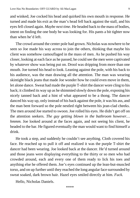and winked; Joe cocked his head and quirked his own mouth in response. He turned and made his exit as the man's head fell back against the stall, and his eyes fell closed again. *Maybe next time*. He headed back to the mass of bodies, intent on finding the one body he was looking for. His pants a bit tighter now than when he'd left.

The crowd around the center pole had grown. Nicholas was nowhere to be seen so Joe made his way across to join the others, thinking that maybe his client was somehow camouflaged in the mass of men. As he pushed his way closer, looking at each face as he passed, he could see the men were captivated by whatever show was being put on. Drool was dripping from more than one mouth. Joe turned his head to look. Leaning against the pole, with his back to his audience, was the man drawing all the attention. The man was wearing skintight black jeans that made Joe wonder how he could even move in them, let alone dance. Sweat had made the purple T-shirt the dancer wore cling to his back; it climbed its way up as he shimmied slowly down the pole, exposing his nicely tanned back and a hint of what appeared to be a thong. The dancer danced his way up, only instead of his back against the pole, it was his ass, and the man bent forward so the pole nestled right between his jean-clad cheeks. The men around Joe started to swoon. Joe rolled his eyes. He didn't get off on the attention seekers. *The guy getting blown in the bathroom however… hmmm*. Joe looked around at the faces again, and not seeing his client, he headed to the bar. He figured eventually the man would want to find himself a drink.

He took a step, and suddenly he couldn't see anything. Cloth covered his face. He reached up to pull it off and realized it was the purple T-shirt the dancer had been wearing. Joe looked back at the dancer. He'd turned around and those jeans were displaying everything to the thirty or so men who had crowded around, each and every one of them ready to lick his toes and anything else he offered them. Joe's eyes continued up the lean-but-muscled torso, and on up further until they reached the long angular face surrounded by sweat soaked, dark brown hair. Hazel eyes smiled directly at him. *Fuck.*

Hello, Nicholas Daniels.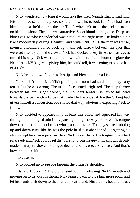Nick wondered how long it would take the hired Neanderthal to find him. His mom had sent him a photo so he'd know who to look for. Nick had seen him as soon as he'd entered the bar. That's when he'd made the decision to put on his little show. The man was attractive. Short blond hair, goatee. Deep-set blue eyes. Maybe Neanderthal was not quite the right term. He looked a bit like a modern day Viking. Beautiful and brutal. But, Jesus, the man was tense, intense. Shoulders pulled back tight, jaw set, furrow between his eyes that were set intently upon the crowd. Nick had ducked every time the man's eyes turned his way. Nick wasn't going down without a fight. From the glare the Neanderthal/Viking was giving him, he could tell, it was going to be one hell of a fight.

Nick brought two fingers to his lips and blew the man a kiss.

Nick didn't think Mr. Viking—Joe, his mom had said—could get any tenser, but he was wrong. The man's face turned bright red. The deep furrow between his brows got deeper, the shoulders tenser. He jerked his head towards the bar, with a force that made Nick wonder if Joe the Viking had given himself a concussion. Joe started that way, obviously expecting Nick to follow.

Nick decided to appease him, at least this once, and squeezed his way through his throng of admirers, pausing along the way to shove his tongue down the throat of a hot brunet who grabbed his ass. The guy started rubbing up and down Nick like he was the pole he'd just abandoned. Forgetting all else, except his own super-hard dick, Nick rubbed back. His tongue intensified its assault and Nick could feel the vibration from the guy's moans, which only made him try to shove his tongue deeper and his erection closer. And that's how Joe found him.

"Excuse me."

Nick looked up to see Joe tapping the brunet's shoulder.

"Back off, buddy." The brunet said to him, releasing Nick's mouth and moving on to devour his throat. Nick leaned back to give him more room and let his hands drift down to the brunet's waistband. Nick let his head fall back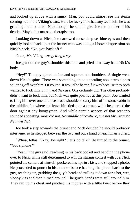and looked up at Joe with a smirk. Man, you could almost see the steam coming out of the Viking's ears. He'd be lucky if he had any teeth left, he was grinding them so hard. Nick thought he should give Joe the number of his dentist. Maybe his massage therapist too.

Looking down at Nick, Joe narrowed those deep-set blue eyes and then quickly looked back up at the brunet who was doing a Hoover impression on Nick's neck. "No, you back off."

#### *Oooh, Mr. Viking was getting testy*.

Joe grabbed the guy's shoulder this time and pried him away from Nick's body.

"Hey!" The guy glared at Joe and squared his shoulders. A tingle went down Nick's spine. There was something oh-so-appealing about two alphas squaring off over him. Of course, it would be better if it was because they both wanted to fuck him. *Sadly, not the case*. One certainly did. The other probably didn't want to fuck him, but Nick was quite positive at this point, Joe wanted to fling him over one of those broad shoulders, carry him off to some cabin in the middle of nowhere and leave him tied up in a corner, while he guarded the door against any boogeymen. And while certain aspects of that scenario sounded appealing, most did not. *Not middle of nowhere, and not Mr. Straight Neanderthal.*

Joe took a step towards the brunet and Nick decided he should probably intervene, so he stepped between the two and put a hand on each man's chest.

"Whoa, fellas. Okay, Joe right? Let's go talk." He turned to the brunet. "Got a phone?"

"Yeah," the guy said, reaching in his back pocket and handing the phone over to Nick, while still determined to win the staring contest with Joe. Nick pointed the camera at himself, puckered his lips in a kiss, and snapped a photo. He proceeded to punch in his number before handing the phone back to the guy, reaching up, grabbing the guy's head and pulling it down for a hot, wet, sloppy kiss and then turned around. The guy's hands were still around him. They ran up his chest and pinched his nipples with a little twist before they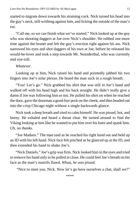started to migrate down towards his straining cock. Nick turned his head into the guy's neck, still writhing against him, and licking the outside of the man's ear.

"Call me, so we can finish what we've started." Nick looked up at the guy who was shooting daggers at Joe over Nick's shoulder. He rubbed one more time against the brunet and felt the guy's erection right against his ass. Nick narrowed his eyes and shot daggers of his own at Joe, before he released his would-be-lover and took a step towards Mr. Neanderthal, who was currently mid eye-roll.

#### *Whatever.*

Looking up at him, Nick raised his hand and pointedly jabbed his two fingers into Joe's solar plexus. He heard the man suck in a rough breath.

"You! Let's go." Nick grabbed his shirt that was still in Joe's hand and walked off with his head high and his back straight. He didn't really give a damn if Joe was following him or not. He pulled his shirt on when he reached the door, gave the doorman a good-bye peck on the cheek, and then headed out into the crisp Chicago night without a single backwards glance.

Nick took a deep breath and tried to calm himself. He was pissed, hot, and horny. He exhaled and heard a throat clear. He turned around to find the Viking looking at him like he wanted to put him over his knee and spank him. *Uh, no thanks.*

"Joe Madsen." The man said as he reached his right hand out and held up an ID with his left hand. Nick face felt pinched as he glanced up at the ID, and then extended his hand to shake Joe's.

"Nick Daniels." Joe's grip was firm. Nick looked him in the eyes and tried to remove his hand only to be pulled in close. He could feel Joe's breath on his face as the man's nostrils flared. *Whoa, he was pissed.*

"Nice to meet you, Nick. Now let's go have ourselves a chat, shall we?"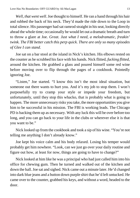*Well, that went well*. Joe thought to himself. He ran a hand through his hair and rubbed the back of his neck. They'd made the ride down to the Loop in total silence. His passenger had sat ramrod straight in his seat, looking directly ahead the whole time; occasionally he would let out a dramatic breath and turn to throw a glare at Joe. *Great. Just what I need, a melodramatic, freakin' twink. The FBI better catch this perp quick. There are only so many episodes of Glee I can stand*.

Joe sat on a bar stool at the island in Nick's kitchen. His elbows rested on the counter as he scrubbed his face with his hands. Nick flitted, *fucking flitted*, around the kitchen. He grabbed a glass and poured himself some red wine before moving over to flip through the pages of a cookbook. Pointedly ignoring Joe.

"Listen," Joe started. "I know this isn't the most ideal situation, but someone out there wants to hurt you. And it's my job to stop them. I won't purposefully try to cramp your style or impede your freedom, but unfortunately, until they stop this whacko, that is probably what is going to happen. The more unnecessary risks you take, the more opportunities you give him to be successful in his mission. The FBI is working leads. The Chicago PD is backing them up as necessary. With any luck this will be over before too long, and you can go back to your life in the clubs or wherever else it is that you want to be."

Nick looked up from the cookbook and took a sip of his wine. "You're not telling me anything I don't already know."

Joe kept his voice calm and his body relaxed. Losing his temper would probably get him nowhere. "Look, can we just go over your daily routine and figure out how, at least for now, things are going to have to change?"

Nick looked at him like he was a principal who had just called him into his office for chewing gum. Then he turned and walked out of the kitchen and down the hall. Joe sat and sighed. Nick came out a minute later. He'd changed into dark blue jeans and a button down purple shirt that he'd left untucked. He came over to the counter, grabbed his keys, and without a word, headed to the door.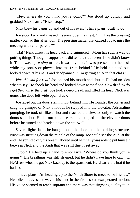"Hey, where do you think you're going?" Joe stood up quickly and grabbed Nick's arm. "Nick, stop."

Nick blew his bangs up and out of his eyes. "I have plans. Stuff to do."

Joe stood back and crossed his arms over his chest. "Oh, like the pressing matter you had this afternoon. The pressing matter that caused you to miss the meeting with your parents?"

"Ha!" Nick threw his head back and sniggered. "Mom has such a way of putting things. Though I suppose she did tell the truth even if she didn't know it. There was a *pressing* matter. It was my face. It was pressed into the desk while my professor plowed into me from behind." He held his hand out, looked down at his nails and deadpanned, "I'm getting an A in that class."

*Was this kid for real?* Joe opened his mouth and shut it. He had no idea what to say. He shook his head and looked down at the floor. *How the fuck do I get through to the brat?* Joe took a deep breath and lifted his head. Nick was gone. The door left wide open. *Fuck.*

Joe raced out the door, slamming it behind him. He rounded the corner and caught a glimpse of Nick's foot as he stepped into the elevator. Adrenaline pumping, he took off like a shot and reached the elevator only to watch the doors seal shut. He let out a loud curse and banged on the elevator doors before he turned and headed down the stairwell.

Seven flights later, he banged open the door into the parking structure. Nick was strutting down the middle of the ramp. Joe could see the Audi at the end. He sprinted off, his breath labored until he finally was able to put himself between Nick and the Audi that was still thirty feet away.

"Stop!" He held up a hand to emphasize. "Where do you think you're going?" His breathing was still strained, but he didn't have time to catch it. He'd rest when he got Nick back up to the apartment. He'd carry the brat if he had to.

"I have plans. I'm heading up to the North Shore to meet some friends." He rolled his eyes and waved his hand in the air, in some exasperated motion. His voice seemed to reach soprano and there was that singsong quality to it,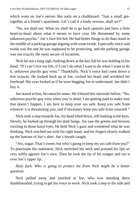which wore on Joe's nerves like nails on a chalkboard. "Just a small gettogether at a friend's apartment. Let's call it a study session, shall we?"

"No, we shall not. What we *shall* do is go back upstairs and have a little heart-to-heart about what it means to have your life threatened by some unknown psycho." Joe's face felt hot. He had better things to do than stand in the middle of a parking garage arguing with some twink. Especially since said twink was the one he was supposed to be protecting, and the parking garage was not exactly the most secure of locations.

Nick let out a long sigh, looking down at the key fob he was holding in his hand. "If I can't live my life, if I can't do what I want to do when I want to do it, unknown psycho guy wins." Thankfully, Nick's voice had come down a few octaves. He looked back up at Joe, cocked his head, and wrinkled his forehead. His eyes looked as if he were begging Joe to understand. Joe didn't buy it.

Joe stared at him, his muscles tense. He'd heard this rationale before. "No, unknown psycho guy wins when you're dead. I am getting paid to make sure that doesn't happen. I am here to keep your ass safe. Keep you safe from whoever it is threatening you, and if necessary keep you safe from yourself."

Nick took a step towards Joe, his head tilted down, still looking at the keys. Slowly, he looked up through his dark bangs. Joe saw the greens and browns swirling in those hazel eyes. He held Nick's gaze and wondered what he was thinking. Nick reached out with his right hand, and his fingers slowly walked up the buttons of Joe's shirt. Joe's breath caught.

"Aw, sugar. That's sweet, but who's going to keep my ass safe from you?" To punctuate the statement, Nick stretched his neck and pressed his lips so very softly against Joe's own. Then he took the tip of his tongue and ran it over Joe's upper lip.

*Holy fuck. Who is going to protect me from Nick might be a better question.*

Nick pulled away and smirked at Joe, who was standing there dumbfounded, trying to get his voice to work. Nick took a step to the side and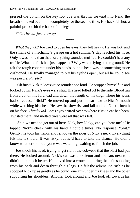pressed the button on the key fob. Joe was thrown forward into Nick, the breath knocked out of him completely for the second time. His back felt hot; a painful prickle hit the back of his legs.

*Shit. The car just blew up.*

\*\*\*\*

*What the fuck?* Joe tried to open his eyes; they felt heavy. He was hot, and the smells of a mechanic's garage on a hot summer's day reached his nose. Only it was more than that. Everything sounded muffled. He couldn't hear any traffic. What the fuck had just happened? Why was he lying on the ground? He felt the rough concrete under his hands, but his head was on something more cushioned. He finally managed to pry his eyelids open, but all he could see was purple. *Purple?*

"Oh fuck! Nick!" Joe's voice sounded too loud. He propped himself up and looked down. Nick's eyes were shut. His head lolled off to the side. Blood ran from a cut on his forehead and down the length of his thigh where his jeans had shredded. "Nick!" He moved up and put his ear next to Nick's mouth while watching his chest. He saw the slow rise and fall and felt Nick's breath on his face. *Thank God.* Joe's eyes drifted over to where Nick's car had been. Twisted metal and melted tires were all that was left.

"Shit, we need to get out of here. Nick, hey Nicky, can you hear me?" He tapped Nick's cheek with his hand a couple times. No response. "Shit." Gently, he took his hands and felt down the sides of Nick's neck. Everything felt like it should. It was risky, but he'd have to take the chance. He didn't know whether or not anyone was watching, waiting to finish the job.

Joe shook his head, trying to get rid of the cobwebs that the blast had put there. He looked around. Nick's car was a skeleton and the cars next to it didn't look much better. He moved into a crouch, ignoring the pain shooting from his back and down through his legs. He felt the adrenaline rush as he scooped Nick up as gently as he could, one arm under his knees and the other supporting his shoulders. Another look around and Joe took off towards his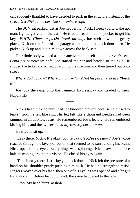car, suddenly thankful to have decided to park in the structure instead of the street. *Get Nick to the car. Get somewhere safe.*

The SUV sat parked just as Joe had left it. "Nick. I need you to wake up, man. I gotta get you in the car." He tried to reach into his pocket to get his keys. *FUCK! Gimme a fuckin' break already.* Joe knelt down and gently placed Nick on the floor of the garage while he got the back door open. He picked Nick up and laid him down across the back seat.

His whole body winced as he maneuvered himself into the driver's seat. *Gotta get somewhere safe.* Joe started the car and headed to the exit. He shoved the ticket and a credit card into the machine and then turned out onto street.

*Where do I go now? Where can I take him? Not his parents' house.* "Fuck it."

Joe took the ramp onto the Kennedy Expressway and headed towards Naperville.

\*\*\*\*

Nick's head fucking hurt. Had Joe knocked him out because he'd tried to leave? God, he felt like shit. His leg felt like a thousand needles had been jammed in all at once. Jesus. He remembered Joe's lecture. He remembered kissing him, and then… *Aw, fuck. My car. My car blew up*.

He tried to sit up.

"Easy there, Nicky. It's okay, you're okay. You're safe now." Joe's voice reached through the layers of cotton that seemed to be surrounding his brain. Nick opened his eyes. Everything was spinning. Nick saw Joe's face kaleidescoping around his vision. He closed his eyes again.

"Take it easy there. Let's lay you back down." Nick felt the pressure of a hand on his shoulder gently pushing him back. He had no strength to resist. Fingers moved over his face, then one of his eyelids was opened and a bright light shone in. Before he could react, the same happened to the other.

"Stop. My head hurts, asshole."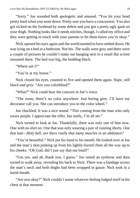"Sorry." Joe sounded both apologetic and amused. "You hit your head pretty hard when you went down. Pretty sure you have a concussion. You also got nicked on the forehead by some debris and you got a pretty ugly gash on your thigh. Nothing looks like it needs stitches, though. I called my office and they were getting in touch with your parents to let them know you're okay."

Nick opened his eyes again and the world seemed to have settled down. He was lying on a bed in a bedroom. Not his. The walls were grey and there were a couple of pictures he couldn't make out hanging next to a small flat screen mounted there. The bed was big, the bedding black.

"Where am I?"

"You're at my house."

Nick closed his eyes, counted to five and opened them again. *Nope, still black and grey.* "Are you colorblind?"

"What?" Nick could hear the concern in Joe's voice.

"The room, there's no color anywhere. Just boring grey. I'll have my decorator call you. She can introduce you to the color wheel."

Joe chuckled. It was a nice sound. "This coming from the man who only wears purple. I appreciate the offer, but really, I'm all set."

Nick turned to look at Joe. Thankfully, there was only one of him now. One with no shirt on. One that was only wearing a pair of running shorts. One that had—*Holy hell, are there really that many muscles in an abdomen?* 

"You're beautiful." Nick put his hand to his mouth. He looked over at Joe and the man's skin pinking up from his lightly-furred chest all the way up to his cheeks. "Oh God, did I just say that out loud?"

"Um yes, and ah, thank you, I guess." Joe raised an eyebrow and then turned to walk away, revealing his back to Nick. There was a bandage across the man's neck and both thighs had been wrapped in gauze. Nick took in a harsh breath.

"Are you okay?" Nick couldn't name whatever feeling lodged itself in his chest at that moment.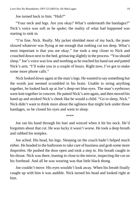Joe turned back to him. "Huh?"

"Your neck and legs. Are you okay? What's underneath the bandages?" Nick's voice was soft as he spoke; the reality of what had happened was starting to sink in.

"I'm fine, Nick. Really. My jacket shielded most of my back, the jeans slowed whatever was flying at me enough that nothing cut too deep. What's most important is that you are okay." Joe took a step closer to Nick and crouched down next to the bed, grimacing slightly in the process. "You should sleep." Joe's voice was low and soothing as he reached his hand out and patted Nick's arm. "I'll wake you in a couple of hours. Right now, I've got to make some more phone calls."

Nick looked down again at the man's legs. He wanted to say something but the words just seemed scrambled in his brain. Unable to string anything together, he looked back up at Joe's deep-set blue eyes. The man's eyebrows were knit together in concern. He patted Nick's arm again, and then moved his hand up and stroked Nick's cheek like he would a child. "Go to sleep, Nick." Nick didn't want to think more about the ugliness that might lurk under those bandages, so he closed his eyes and went to sleep.

\*\*\*\*

Joe ran his hand through his hair and winced when it hit his neck. He'd forgotten about that cut. He was lucky it wasn't worse. He took a deep breath and rubbed his temples.

Joe ached. His head, his legs. Sleeping on the couch hadn't helped much either. He headed to the bathroom to take care of business and grab some more ibuprofen. He pushed the door open and took a step in. His breath caught in his throat. Nick was there, leaning in close to the mirror, inspecting the cut on his forehead. And all he was wearing was that little black thong.

Joe couldn't move. His eyes wouldn't look away. When his breath finally caught up with him it was audible. Nick turned his head and looked right at him.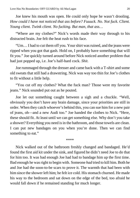Joe knew his mouth was open. He could only hope he wasn't drooling. *How could I have not noticed that ass before? Fuuuck. No. Not fuck. Client. Young client. Twink client. No fucking. But man, that ass…*

"Where are my clothes?" Nick's words made their way through to his distracted brain. Joe felt the heat rush to his face.

"Um… I had to cut them off you. Your shirt was ruined, and the jeans were ripped when you got that gash. Hold on, I probably have something that will fit you." Joe quickly turned around before Nick noticed another problem that had just popped up, i.e. Joe's half-hard cock. *Shit.*

Joe rummaged through the dresser and came back with a T-shirt and some old sweats that still had a drawstring. Nick was way too thin for Joe's clothes to fit without a little help.

"You cut off my clothes? What the fuck man? Those were my favorite jeans." Nick sounded put out as he pouted.

Joe let out something caught between a sigh and a chuckle. "Well, obviously you don't have any brain damage, since your priorities are still in order. When they catch whoever's behind this, you can sue him for a new pair of jeans, oh—and a new Audi too." Joe handed the clothes to Nick. "Here, these should fit. At least until we can get something else. Why don't you take a shower? Everything you need is in the bathroom, and those towels are clean. I can put new bandages on you when you're done. Then we can find something to eat."

\*\*\*\*

Nick walked out of the bathroom freshly changed and bandaged. He'd found the first aid kit under the sink, and figured he didn't need Joe to do that for him too. It was bad enough Joe had had to bandage him up the first time. Bad enough he was right to begin with. Someone *had* tried to kill him. Both he and Joe had the soon-to-be scars to prove it. The warmth that had been with him since the shower left him; he felt ice cold. His stomach churned. He made his way to the bedroom and sat down on the edge of the bed, too afraid he would fall down if he remained standing for much longer.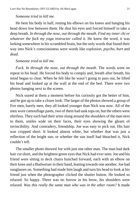#### *Someone tried to kill me.*

He bent his body in half, resting his elbows on his knees and hanging his head down low between them. He shut his eyes and forced himself to take a deep breath. *In through the nose, out through the mouth*. *Find my inner chi or whatever the fuck my yoga instructor called it*. He knew the word, it was lurking somewhere in his scrambled brain, but the only words that found their way into Nick's consciousness were words like *explosion*, *psycho, hurt* and *dead*.

#### *Someone tried to kill me.*

*Fuck. In through the nose, out through the mouth*. The words went on repeat in his head. He forced his body to comply and, breath after breath, his mind began to clear. When he felt like he wasn't going to pass out, he lifted his head and looked up at the wall at the end of the bed. There were two photos hanging next to the screen.

Nick stared at them a moment before his curiosity got the better of him, and he got up to take a closer look. The larger of the photos showed a group of five men, barely men, they all looked younger than Nick was now. All of the men wore camouflage pants, two of them had tank tops on, but the others were shirtless. They each had their arms slung around the shoulders of the man next to them, smiles wide on their faces, their eyes showing the gleam of invincibility. And comradery, friendship. Joe was easy to pick out. His hair was cropped short. It looked almost white, but whether that was just a reflection of the bright sun, or whether the sun itself had bleached it, Nick couldn't tell.

The smaller photo showed Joe with just one other man. The man had dark hair cut short, and the brightest green eyes that Nick had ever seen. Joe and his friend were sitting in deck chairs hunched forward, each with an elbow on their knee and a Budweiser in their hand, leaning towards one another. Joe had sunglasses on. Something had made him laugh and turn his head to look at his friend just when the photographer clicked the shutter button. He looked so relaxed. So happy. There was no furrow in his brow, his shoulders were relaxed. *Was this really the same man who was in the other room?* It made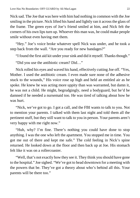Nick sad. The Joe that was here with him had nothing in common with the Joe smiling in the picture. Nick lifted his hand and lightly ran it across the glass of the frame. The green eyes of Joe's friend smiled at him, and Nick felt the corners of his own lips turn up. Whoever this man was, he could make people smile without even having met them.

"Hey." Joe's voice broke whatever spell Nick was under, and he took a step back from the wall. "Are you ready for new bandages?"

"I found the first aid kit under your sink and did it myself. Thanks though."

"Did you use the antibiotic cream? Did…"

Nick rolled his eyes and waved his hand, effectively cutting Joe off. "Yes, Mother. I used the antibiotic cream. I even made sure none of the adhesive stuck to the wounds," His voice rose up high and held an entitled air as he spoke. He knew he was acting more uppity than was warranted, but damn it, he was not a child. He might, begrudgingly, need a bodyguard, but he'd be damned if he needed a nursemaid too. He was tired of talking about how he was hurt.

"Nick, we've got to go. I got a call, and the FBI wants to talk to you. Not to mention your parents. I talked with them last night and told them all the pertinent stuff, but they still want to talk to you in person. Your parents aren't very happy with me right now."

"Huh, why? I'm fine. There's nothing you could have done to stop anything. I was the one who left the apartment. You stopped me in time. You got me out of there and kept me safe." The cold feeling in Nick's spine returned. He looked down at the floor and then back up at Joe. His stomach felt like it was on a rollercoaster.

"Well, that's not exactly how they see it. They think you should have gone to the hospital." Joe sighed. "We've got to head downtown for a meeting with the powers that be. They've got a theory about who's behind all this. Your parents will be there too."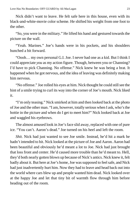Nick didn't want to leave. He felt safe here in this house, even with its black-and-white-movie color scheme. He shifted his weight from one foot to the other.

"So, you were in the military." He lifted his hand and gestured towards the picture on the wall.

"Yeah. Marines." Joe's hands were in his pockets, and his shoulders hunched a bit forward.

"Oooh… my own personal G.I. Joe. I never had one as a kid. But I think I could appreciate *you* as my action figure. Though, between you or Channing? I'd have to pick Channing. No offense." Nick knew he was being a brat. It happened when he got nervous, and the idea of leaving was definitely making him nervous.

"No offense." Joe rolled his eyes at him. Nick thought he could still see the hint of a smile trying to curl its way into the corner of Joe's mouth. Nick liked it.

"I'm only teasing." Nick smirked at him and then looked back at the photo of Joe and the other man. "I am, however, totally serious when I ask, who's the hottie in the picture and when do I get to meet him?" Nick looked back at Joe and waggled his eyebrows.

The almost amused look in Joe's face slid away, replaced with one of pure ice. "You can't. Aaron's dead." Joe turned on his heel and left the room.

*Shit.* Nick had just wanted to see Joe smile. Instead, he'd hit a mark he hadn't intended to hit. Nick looked at the picture of Joe and Aaron. Aaron had been beautiful and obviously he'd meant a lot to Joe. Nick had just brought that loss front and center. He'd caused more trouble than he'd meant to. Hell, they'd both nearly gotten blown up because of Nick's antics. Nick knew it, felt badly about it. But here at Joe's home, Joe was supposed to feel safe, and Nick had just inadvertently hurt him. Now they had to leave and head back out into the world where cars blew up and people wanted him dead. Nick looked over at the happy Joe and let that tiny bit of warmth flow through him before heading out of the room.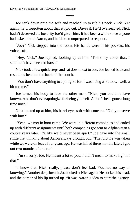#### \*\*\*\*

Joe sank down onto the sofa and reached up to rub his neck. *Fuck.* Yet again, he'd forgotten about that stupid cut. *Damn it*. He'd overreacted. Nick hadn't deserved the hostility Joe'd given him. It had been a while since anyone had asked about Aaron, and he'd been unprepared to respond.

"Joe?" Nick stepped into the room. His hands were in his pockets, his voice, soft.

"Hey, Nick." Joe replied, looking up at him. "I'm sorry about that. I shouldn't have been so harsh."

Nick took a few quick steps and sat down next to Joe. Joe leaned back and rested his head on the back of the couch.

"You don't have anything to apologize for, I was being a bit too… well, a bit too me."

Joe turned his body to face the other man. "Nick, you couldn't have known. And don't ever apologize for being yourself. Aaron's been gone a long time now."

Nick looked up at him, his hazel eyes soft with concern. "Did you serve with him?"

"Yeah, we met in boot camp. We were in different companies and ended up with different assignments until both companies got sent to Afghanistan a couple years later. It's like we'd never been apart." Joe gave into the small smile that thinking about Aaron always brought out. "That picture was taken while we were on leave four years ago. He was killed three months later. I got out two months after that."

"I'm so sorry, Joe. He meant a lot to you. I didn't mean to make light of that."

"I know that. Nick, really, please don't feel bad. You had no way of knowing." Another deep breath. Joe looked at Nick again. He cocked his head, and the corner of his lip turned up. "It was Aaron's idea to start the agency.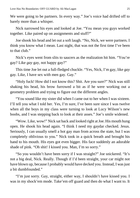We were going to be partners. In every way." Joe's voice had drifted off to barely more than a whisper.

Nick narrowed his eyes and looked at Joe. "You mean you guys worked together. Like paired up on assignments and stuff?"

Joe shook his head and let out a soft laugh. "No, Nick, we were partners. I think you know what I mean. Last night, that was not the first time I've been to that club."

Nick's eyes went from slits to saucers as the realization hit him. "You're gay? Like *gay* gay, not happy gay?"

This time Joe let out a full-fledged chuckle. "Yes, Nick, I'm gay, like *gay* gay. Like, I have sex with men gay. Gay."

"Holy fuck! How did I not know this? Shit. Are you sure?" Nick was still shaking his head, his brow furrowed a bit as if he were working out a geometry problem and trying to figure out the different angles.

"You sound like my sister did when I came out to her when I was sixteen. I'll tell you what I told her. Yes, I'm sure, I've been sure since I was twelve when all the boys in my class were turning to look at Lucy Wilson's new boobs, and I was stepping back to look at their asses." Joe's smile widened.

"Wow. Like, wow!" Nick sat back and looked right at Joe. His mouth hung open. He shook his head again. "I think I need my gaydar checked. Jesus. Seriously, I can usually smell a hot gay man from across the state, but I was completely oblivious to you." Nick took in a quick breath and brought his hand to his mouth. His eyes got even bigger. His face suddenly an adorable shade of pink. "Oh shit! I kissed you. Man, I'm so sorry."

"So you wouldn't have been sorry if I was straight?" Joe snickered. "It's not a big deal, Nick. Really. Though if I'd been straight, your car might not have blown up, because I probably would have decked you. Instead, I was just a bit dumbfounded."

"I'm just sorry. Gay, straight, either way, I shouldn't have kissed you. I was in my shock'em mode. Take'em off guard and then do what I want to. It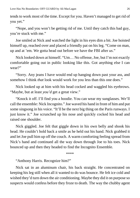tends to work most of the time. Except for you. Haven't managed to get rid of you yet."

"Nope, and you won't be getting rid of me. Until they catch this bad guy, you're stuck with me."

Joe smiled at Nick and watched the light in his eyes dim a bit. Joe hoisted himself up, reached over and placed a friendly pat on his leg. "Come on man, up and at 'em. We gotta head out before we have the FBI after *us*."

Nick looked down at himself. "Um… No offense, Joe, but I'm not exactly comfortable going out in public looking like this. Got anything else I can wear?"

"Sorry. Any jeans I have would end up hanging down past your ass, and somehow I think *that* look would work for you less than this one does."

Nick looked up at him with his head cocked and waggled his eyebrows. "Maybe, but at least *you'd* get a great view."

"Knock it off. I'll find you a hoodie. You can wear my sunglasses. We'll call the ensemble: Nick Incognito." Joe waved his hand in front of him and put some singsong in his voice. "It'll be the next big thing on the Paris runways. I just know it." Joe scrunched up his nose and quickly cocked his head and raised one shoulder.

Nick giggled. Joe felt that giggle down in his own belly and shook his head. He couldn't hold back a smile as he held out his hand. Nick grabbed it and let Joe pull him up off the couch. A warm comforting feeling spread from Nick's hand and continued all the way down through Joe to his toes. Nick bounced up and then they headed to find the Incognito Ensemble.

\*\*\*\*

"Anthony Harris. Recognize him?"

Nick sat in an aluminum chair, his back straight. He concentrated on keeping his leg still when all it wanted to do was bounce. He felt ice cold and wished they'd turn down the air conditioning. Maybe they did it on purpose so suspects would confess before they froze to death. The way the chubby agent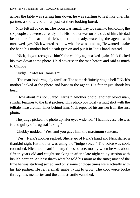across the table was staring him down, he was starting to feel like one. His partner, a shorter, bald man just sat there looking bored.

Nick felt all boxed in. The room was small, way too small to be holding the six people that were currently in it. His mother was on one side of him, his dad beside her. Joe sat on his left, quiet and steady, watching the agents with narrowed eyes. Nick wanted to know what he was thinking. He wanted to take the hand his mother had a death grip on and put it in Joe's hand instead.

"Nick, do you recognize him?" the chubby agent asked again. Nick flicked his eyes down at the photo. He'd never seen the man before and said as much to Chubby.

"Judge, Professor Daniels?"

"The man looks vaguely familiar. The name definitely rings a bell." Nick's mother looked at the photo and back to the agent. His father just shook his head.

"How about his son, Jared Harris." Another photo, another blond man, similar features to the first picture. This photo obviously a mug shot with the telltale measurement lines behind him. Nick repeated his answer from the first photo.

The judge picked the photo up. Her eyes widened. "I had his case. He was found guilty of drug trafficking."

Chubby nodded. "Yes, and you gave him the maximum sentence."

"Yes," Nick's mother replied. She let go of Nick's hand and Nick stifled a thankful sigh. His mother was using the "judge voice." The voice was cool, controlled. Nick had heard it many times before, mostly when he was about fifteen-years-old and caught sneaking in after a late night study session with his lab partner. At least that's what he told his mom at the time; most of the time he was studying sex ed, and only some of those times were actually with his lab partner. He felt a small smile trying to grow. The cool voice broke through his memories and the almost-smile vanished.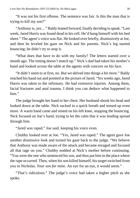"It was not his first offense. The sentence was fair. Is this the man that is trying to kill my son?"

"Anthony is, yes…" Baldy leaned forward, finally deciding to speak. "Last week, Jared Harris was found dead in his cell. He'd hung himself with his bed sheet." The agent's voice was flat. He looked over briefly, dismissively at Joe, and then he leveled his gaze on Nick and his parents. Nick's leg started bouncing; he didn't try to stop it.

"What does that have to do with my family? The letters started over a month ago. The timing doesn't match up." Nick's dad had taken his mother's hand and looked across the table at the agents with concern on his face.

"It didn't seem to at first, no. But we delved into things a bit more." Baldy reached his hand out and pointed at the picture of Jared. "Six weeks ago, Jared Harris was taken to the infirmary. He had extensive injuries. Among them, facial fractures and anal trauma. I think you can deduce what happened to him."

The judge brought her hand to her chest. Her husband shook his head and looked down at the table. Nick sucked in a quick breath and tensed up even more. A warm hand came and rested on his left knee, stopping the bouncing. Nick focused on Joe's hand, trying to let the calm that it was lending spread through him.

"Jared was raped." Joe said, keeping his voice even.

Chubby looked over at Joe. "Yes, Jared was raped." The agent gave Joe another dismissive look and turned his gaze back to the judge. "We believe that Anthony was made aware of the attack and became enraged and focused all that rage on you." Chubby nodded at Nick's mother before continuing. "You were the one who sentenced his son, and thus put him in the place where the rape occurred. Then, when his son killed himself, his target switched from you to Nicholas. *Your son for mine.* An eye for an eye, it would seem."

"That's ridiculous." The judge's voice had taken a higher pitch as she spoke.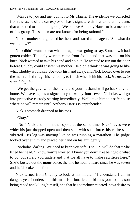"Maybe to you and me, but not to Mr. Harris. The evidence we collected from the scene of the car explosion has a signature similar to other incidents that were tied to a militant group. We believe Anthony Harris to be a member of this group. These men are not known for being rational."

Nick's mother straightened her head and stared at the agent. "So, what do we do now?"

Nick didn't want to hear what the agent was going to say. Somehow it had gotten colder. The only warmth came from Joe's hand that was still on his knee. Nick wanted to take his hand and hold it. He wanted to run out the door before Chubby could answer his mother. He didn't think he was going to like what Chubby would say. Joe took his hand away, and Nick looked over to see the man run it through his hair, only to flinch when it hit his neck. *He needs to stop doing that.*

"We get the guy. Until then, you and your husband will go back to your home. We have agents assigned to you twenty-four-seven. Nicholas will go into protective custody starting immediately. We'll take him to a safe house where he will remain until Anthony Harris is apprehended."

Nick's stomach dropped to his toes.

"Okay."

"No!" Nick and his mother spoke at the same time. Nick's eyes were wide; his jaw dropped open and then shut with such force, his entire skull vibrated. His leg was moving like he was running a marathon. The judge looked over at him and placed her hand on his arm gently.

"Nicholas, darling. We need to keep you safe. The FBI will do that." She tilted her head. "I know you're worried. I know you don't like being told what to do, but surely you understand that we all have to make sacrifices here." She'd busted out the mom-voice, the one he hadn't heard since he was seven and he'd broken his foot.

Nick turned from Chubby to look at his mother. "I understand I am in danger, yes. I understand this man is a lunatic and blames you for his son being raped and killing himself, and that has somehow mutated into a desire to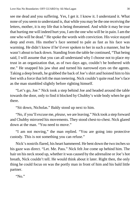see me dead and you suffering. Yes, I get it. I know it. I understand it. What none of you seem to understand is, that while you may be the one receiving the letters, mother, it is my life that is being threatened. And while it may be true that hurting me will indeed hurt you, I am the one who will be in pain. I am the one who will be dead." He spoke the words with conviction. His voice stayed deep and even. His mother's face seemed to pale as fast as his face was warming. He didn't know if he'd ever spoken to her in such a manner, but he wasn't about to back down. Standing from the table he continued, "That being said, I will assume that you can all understand why I choose not to place my trust in an organization that, as of two days ago, couldn't be bothered with me." He snapped his jaw shut and turned his narrowed eyes on the agents. Taking a deep breath, he grabbed the back of Joe's shirt and hoisted him to his feet with a force that left the man teetering. Nick couldn't quite read Joe's face as the man stumbled slightly before righting himself.

"Let's go, Joe." Nick took a step behind Joe and headed around the table towards the door, only to find it blocked by Chubby's wide body when he got there.

"Sit down, Nicholas." Baldy stood up next to him.

"No, if you'll excuse me, *please*, we are leaving." Nick took a step forward and Chubby mirrored his movements. They stood chest-to-chest. Nick glared down at the man. "You need to move."

"I am not moving," the man replied. "You are going into protective custody. This is not something you can refuse."

Nick's nostrils flared, his heart hammered. He bent down the two inches so his gaze was direct. "Let. Me. Pass." Nick felt Joe come up behind him. The hair on his neck stood up, whether it was caused by the adrenaline or Joe's hot breath, Nick couldn't tell. He would think about it later. Right then, the only thing he could focus on was the portly man in front of him and his bald little partner.

"No."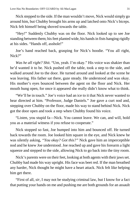Nick stepped to the side. If the man wouldn't move, Nick would simply go around him, but Chubby brought his arms up and latched onto Nick's biceps. Nick felt himself being shoved towards the table.

"Hey!" Suddenly Chubby was on the floor. Nick looked up to see Joe standing between them; his feet planted wide, his hands in fists hanging rigidly at his sides. "Hands off, asshole!"

Joe's hand reached back, grasping for Nick's hoodie. "You all right, Nick?"

*Was he all right? Shit.* "Um, yeah. I'm okay." His voice was shakier than he'd wanted it to be. Nick pushed off the table, took a step to the side, and walked around Joe to the door. He turned around and looked at the scene he was leaving. His father sat there, gaze steady. He understood and was okay. His mother's eyes bounced between the agent on the floor and Nick. Her mouth hung open, for once it appeared she really didn't know what to think.

"We'll be in touch." Joe's voice had an ice to it that Nick never wanted to hear directed at him. "Professor, Judge Daniels." Joe gave a curt nod and, stepping over Chubby on the floor, made his way to stand behind Nick. Nick got the door open and took a step when Chubby found his voice.

"Listen, you stupid fa—Nick. You cannot leave. We can, and will, hold you as a material witness if you refuse to cooperate."

Nick stopped so fast, Joe bumped into him and bounced off. He turned back towards the room. Joe looked him square in the eye, and Nick knew he was silently asking, *"You okay? Got this?"* Nick gave him an imperceptible nod and he knew Joe understood. Joe reached up and gave his forearm a light squeeze and stepped to the side, allowing Nick to go back into the tiny room.

Nick's parents were on their feet, looking at both agents with their jaws set. Chubby had made his way upright. His face was beet red. If the man breathed any harder, Nick thought he might have a heart attack. Nick felt like helping him get there.

"First of all, *sir*, I may not be studying criminal law, but I know for a fact that putting your hands on me and pushing me are both grounds for an assault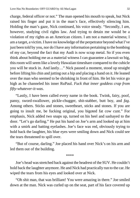charge, federal officer or not." The man opened his mouth to speak, but Nick raised his finger and put it in the man's face, effectively silencing him. Holding the man's gaze, Nick continued, his voice steady. "Secondly, I *am*, however, studying civil rights law. And trying to detain me would be a violation of my rights as an American citizen. I am not a material witness; I am a target, a victim. I have no knowledge of the perpetrator beyond what I've just been told by you, nor do I have any information pertaining to the bombing of my car, beyond the fact that my Audi is now scrap metal. So if you even think about holding me as a material witness I can guarantee a lawsuit so big, this room will seem like a lovely Hawaiian timeshare compared to the cubicle you will be stuck in. And lastly…" Nick paused a moment, stood up straight before lifting his chin and jutting out a hip and placing a hand on it. He leaned over the man who seemed to be shrinking in front of him. He let his voice go high as he channeled his inner RuPaul. *Fuck that inner goddess crap from fifty-whatever-it-was*.

"Lastly, I have been called every name in the book. Twink, fairy, poof, pansy, sword-swallower, pickle-chugger, shit-stabber, butt boy, and *fag*. Among others. Sticks and stones, sweetheart, sticks and stones. If you are going to insult me, be fucking original, you bigoted fat cow cunt." For emphasis, Nick added two snaps up, turned on his heel and sashayed to the door. "Let's go darling." He put his hand on Joe's arm and looked up at him with a smirk and batting eyelashes. Joe's face was red, obviously trying to hold back the laughter, his blue eyes were smiling down and Nick could see the tears threatened to spill over.

"But of course, darling." Joe placed his hand over Nick's on his arm and led them out of the building.

\*\*\*\*

Joe's head was stretched back against the headrest of the SUV. He couldn't hold back the laughter anymore. He and Nick had practically run to the car. He wiped the tears from his eyes and looked over at Nick.

"Oh shit man, that was brilliant! You were amazing in there." Joe smiled down at the man. Nick was curled up on the seat, part of his face covered up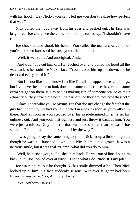with his hood. "Hey Nicky, you can't tell me you don't realize how perfect that was?"

Nick pulled the hood away from his eyes and peeked out. His face was bright red. Joe could see the corners of his lips turned up. "I shouldn't have called him fat."

Joe chuckled and shook his head. "You called the man a cow cunt, but you're more embarrassed because you called him fat?"

"Well, it was rude. And unoriginal. And…"

"And true." Joe cut him off. He reached over and pulled the hood all the way back so he could see Nick's face. "You dressed him up and down, and he deserved every bit of it."

"But I'm not like that. I know I act like I'm all into appearances and things, but I've never been one to look down on someone because they've got some extra weight on them. It's as bad as making fun of someone 'cause of their ethnicity or they have a big nose. It's part of who they are, not how they act."

"Okay. I hear what you're saying. But that doesn't change the fact that the guy had it coming. He had you all labeled in a box as soon as you walked in there. And as soon as you stepped over his predetermined line, he let his ugliness out. And you took that ugliness and just threw it back at him. You were just a mirror. Only a mirror that was a lot smarter than he was." Joe smiled. "Remind me not to piss you off by the way."

"I was going to say the same thing to you." Nick sat up a little straighter, though he was still hunched down a bit. Nick's smile had grown. It was a nervous smile, but it was real. "Damn, what did you do to him?"

"Well, he pushed you, so I pushed him back. He was out of line. I put him back in it." Joe looked over at Nick. "That's what I do, Nick. It's my job."

Joe wasn't sure, but he thought Nick's smile dimmed a bit. Then Nick looked up at him, his face suddenly serious. Whatever laughter had been lingering was gone. "So, Anthony Harris."

"Yes, Anthony Harris."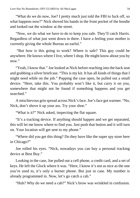"What do we do now, Joe? I pretty much just told the FBI to fuck off, so what happens now?" Nick shoved his hands in the front pocket of the hoodie and looked out the window at the street.

"Now, we do what we have to do to keep you safe. They'll catch Harris. Regardless of what just went down in there. I have a feeling your mother is currently giving the whole Bureau an earful."

"But how is this going to work? Where is safe? This guy could be anywhere. He knows where I live, where I shop. He might know about you by now."

"Yeah, I know that." Joe looked at Nick before reaching into the back seat and grabbing a silver briefcase. "This is my kit. It has all kinds of things that I might need while on the job." Popping the case open, he pulled out a small device. "Here, take this. You probably won't like it, but carry it on you, somewhere that might not be found if something happens and you get searched."

A mischievous grin spread across Nick's face. Joe's face got warmer. "No, Nick, don't shove it up your ass. Try your shoe."

"What is it?" Nick asked, inspecting the flat square.

"It's a tracking device. If anything should happen and we get separated, this will let me know where to find you. Just push that button and it will turn on. Your location will get sent to my phone."

"Where did you get this thing? Do they have like the super spy store here in Chicago?"

Joe rolled his eyes. "Nick, nowadays you can buy a personal tracking device at Best Buy."

Looking in the case, Joe pulled out a cell phone, a credit card, and a set of keys. He left the Glock where it was. "Here, I know it's not as nice as the one you're used to, it's only a burner phone. But just in case. My number is already programmed in. Now, let's go catch a cab."

"Huh? Why do we need a cab?" Nick's brow was wrinkled in confusion.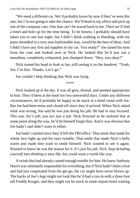"We need a different car. We'd probably know by now if they've seen this one, but I'm not going to take the chance. We'll head to my office and pick up one of the company cars. One that can't be traced back to me. Then we'll find a hotel and hole up for the time being. To be honest, I probably should have taken you to one last night, but I didn't think walking in bleeding, with my jeans shredded in a very non-fashionable way, would be the best of ideas. And I didn't have any first aid supplies in my car. You ready?" Joe raised his eyes from the case and looked over at Nick. He looked like he'd just run a marathon, completely exhausted, just slumped down. "Hey, you okay?"

Nick turned his head to look at Joe, still resting it on the headrest. "Yeah, Joe, I'm fine. Thanks. Let's go."

Joe couldn't help thinking that Nick was lying.

\*\*\*\*

Nick looked up at the sky. It was all grey, dismal, and seemed appropriate to him. They'd been at the hotel for two uneventful days. Under any different circumstances, he'd probably be happy to be stuck in a hotel room with Joe. But Joe had been tense and closed off since they'd arrived. When Nick asked what was wrong, Joe said he was just doing his job. He had to stay focused. *This was Joe's job*, *you are just a job*. Nick frowned as he realized that at some point along the way, he'd let himself forget that. And it was obvious that Joe hadn't and didn't want to either.

Joe hadn't smiled since they'd left the FBI office. That smile that made his whole face light up and his eyes twinkle. That smile that made Nick's belly warm and made him want to smile himself. Nick wanted to see it again. Wanted to know he was the reason for it. *It's just his job, Nick. Stop deluding yourself into thinking a man like Joe could want a twink like you.*

A twink that had already caused enough trouble for him. He knew Anthony Harris was ultimately responsible for everything, but if Nick hadn't been a brat and had just cooperated from the get-go, the car might have never blown up. The backs of Joe's legs might not look like he'd had a run-in with a three foot tall Freddy Kruger, and they might not be stuck in some airport hotel waiting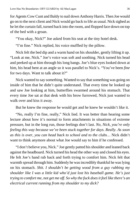for Agents Cow Cunt and Baldy to nail down Anthony Harris. Then Joe would go on to the next client and Nick would go back to life as usual. Nick sighed as he let the curtain fall, turned back into the room, and flopped face down on top of the bed with a groan.

"You okay, Nick?" Joe asked from his seat at the tiny hotel desk.

"I'm fine." Nick replied, his voice muffled by the pillow.

Nick felt the bed dip and a warm hand on his shoulder, gently lifting it up. "Look at me, Nick." Joe's voice was soft and soothing. Nick turned his head and peeked up at him through his long bangs. Joe's blue eyes looked down at him, his head bent at an angle so it was parallel to Nick's. "You've been *fine* for two days. Want to talk about it?"

Nick wanted to say something. Wanted to say that something was going on inside of him that he didn't quite understand. That every time he looked up and saw Joe looking at him, butterflies swarmed around his stomach. That every time Joe sat at that desk with his brow furrowed, Nick just wanted to walk over and kiss it away.

But he knew the response he would get and he knew he wouldn't like it.

"No, really I'm fine, really," Nick lied. It was better than hearing some lecture about how it's normal to form attachments in situations of extreme pressure, but in the long run, those feelings don't last. *No, Nick, you're only feeling this way because we've been stuck together for days. Really. As soon as this is over, you can head back to school and to the clubs…* Nick didn't want to think anymore about what Joe would say to him if he confessed.

"I don't believe you, Nick." Joe gently patted his shoulder and leaned back against the headboard. Nick turned his head the other way and closed his eyes. He felt Joe's hand rub back and forth trying to comfort him. Nick felt that warmth spread through him. Suddenly he was incredibly thankful he was lying on his stomach. *Shit. I shouldn't be getting wood from a guy rubbing my shoulder like I was a little kid who'd just lost his baseball game. He's just trying to comfort me, not get me off. So why the fuck does it feel like there's an electrical current running from my shoulder to my dick?*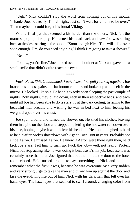"Ugh." Nick couldn't stop the word from coming out of his mouth. "Thanks Joe, but really, I'm all right. Just can't wait for all this to be over." Then maybe he could forget his brutal Viking.

With a final pat that seemed a bit harder than the others, Nick felt the mattress pop up abruptly. He turned his head back and saw Joe was sitting back at the desk staring at the phone. "Soon enough Nick. This will all be over soon enough. Um, do you need anything? I think I'm going to take a shower."

"No…"

"I know, you're fine." Joe looked over his shoulder at Nick and gave him a small smile that didn't quite reach his eyes.

\*\*\*\*

*Fuck. Fuck. Shit. Goddamned. Fuck. Jesus, Joe, pull yourself together.*Joe braced his hands against the bathroom counter and looked up at himself in the mirror. He looked like shit. He hadn't exactly been sleeping the past couple of nights. Both nights, they'd laid down, each in their respective beds, and each night all Joe had been able to do is stare up at the dark ceiling, listening to the beautiful man breathe and wishing he was in bed next to him feeling his weight draped over his chest.

Joe spun around and turned the shower on. He shed his clothes, leaving them in a pile on the floor and stepped in, letting the hot water run down over his face, hoping maybe it would clear his head out. He hadn't laughed as hard as he did after Nick's showdown with Agent Cow Cunt in years. Probably not since Aaron. He missed Aaron. He knew if Aaron were there right then, he'd kick Joe's ass. Tell him to man up. Fuck the job—well, not really. Protect Nick, but stop acting like he was doing it because it's his job, because it was certainly more than that. Joe figured that out the minute the door to the hotel room closed. He'd turned around to say something to Nick and couldn't remember what the fuck it was, because he was overcome by a very sudden and very strong urge to take the man and throw him up against the door and kiss the ever-living life out of him. Nick with his dark hair that fell over his hazel eyes. The hazel eyes that seemed to swirl around, changing color from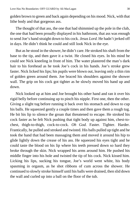golden brown to green and back again depending on his mood. Nick, with that lithe body and that gorgeous ass.

The thought of that ass, the one that had shimmied up the pole in the club, the one that had been proudly displayed in his bathroom, that ass was enough to send Joe's hand straight down to his cock. *Jesus Lord.* He hadn't jerked off in days. He didn't think he could and still look Nick in the eye.

But as he stood in the shower, he didn't care. He stroked his shaft from the base to the tip, and then gave it a twist. He closed his eyes. In his mind he could see Nick kneeling in front of him. The water plastered the man's dark hair to his forehead as he took Joe's cock in his hands. Joe's stroke grew faster. Nick licked his lips; his pupils were blown out, leaving only a thin rim of golden green around them. Joe braced his shoulders against the shower wall. The grip on his cock got tighter as he slowly moved his hand up and down.

Nick looked up at him and Joe brought his other hand and ran it over his rigid belly before continuing up to pinch his nipple. First one, then the other. Giving a slight tug before running it back over his stomach and down to cup his balls. He squeezed gently a couple times and then gave them a rough tug. He bit his lip to silence the groan that threatened to escape. He stroked his cock faster as he felt Nick pushing that tight body up against him, chest-tochest, thigh-to-thigh, cock-to-cock. *Oh God.* Faster. Tighter. Harder. Frantically, he pulled and stroked and twisted. His balls pulled up tight and he took the hand that had been massaging them and moved it around his hip to glide lightly down the crease of his ass. He squeezed his eyes tight and he could taste the blood on his lip where his teeth pressed down so hard they broke through the skin. Nick wrapped his arms around him. He pushed his middle finger into his hole and twisted the tip of his cock. Nick kissed him. Licking his lips, sucking his tongue, Joe's world went white, his body spasming in orgasm, as he shot ribbons of cum across the shower. He continued to slowly stroke himself until his balls were drained, then slid down the wall and curled up into a ball on the floor of the tub.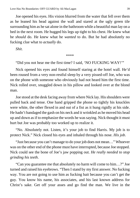Joe opened his eyes. His vision blurred from the water that fell over them as he leaned his head against the wall and stared at the ugly green tile surrounding him as he sat alone in the bathroom while a beautiful man lay on a bed in the next room. He hugged his legs up tight to his chest. He knew what he *should* do. He knew what he *wanted* to do. But he had absolutely no fucking clue what to *actually* do.

*Shit.*

\*\*\*\*

"Did you not hear me the first time? I said, 'NO FUCKING WAY!'"

Nick opened his eyes and found himself staring at the hotel wall. He'd been roused from a very non-restful sleep by a very pissed-off Joe, who was on the phone with someone who obviously had not heard him the first time. Nick rolled over, snuggled down in his pillow and looked over at the blond man.

Joe stood at the desk facing away from where Nick lay. His shoulders were pulled back and tense. One hand gripped the phone so tightly his knuckles were white, the other flexed in and out of a fist as it hung rigidly at his side. He hadn't bandaged the gash on his neck and it wrinkled as he moved his head up and down as if to emphasize the words he was saying. Nick thought it must hurt but Joe was probably too worked up to realize it.

"No. Absolutely not. Listen, it's your job to find Harris. My job is to protect Nick." Nick closed his eyes and inhaled through his nose. *His job.*

"Just because you can't manage to do your job does not mean…" Whoever was on the other end of the phone must have interrupted, because Joe stopped. Nick could see the bone of Joe's jaw popping out. *He really needed to stop grinding his teeth*.

"Can you guarantee me that absolutely no harm will come to him…?" Joe turned and raised his eyebrows. "Then I stand by my first answer. No fucking way. You are not going to use him as fucking bait because you can't get the guy. You know his name, his associates, and his last known address for Christ's sake. Get off your asses and go find the man. We live in the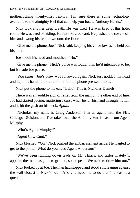motherfucking twenty-first century, I'm sure there is some technology available to the almighty FBI that can help you locate Anthony Harris."

Nick took another deep breath. He was tired. He was tired of this hotel room. He was tired of hiding. He felt like a coward. He pushed the covers off him and swung his feet down onto the floor.

"Give me the phone, Joe," Nick said, keeping his voice low as he held out his hand.

Joe shook his head and mouthed, "No."

"Give me the phone." Nick's voice was louder than he'd intended it to be, but it made Joe pause.

"You sure?" Joe's brow was furrowed again. Nick just nodded his head and kept his hand held out until he felt the phone pressed into it.

Nick put the phone to his ear. "Hello? This is Nicholas Daniels."

There was an audible sigh of relief from the man on the other end of line. Joe had started pacing, muttering a curse when he ran his hand through his hair and it hit the gash on his neck. *Again.*

"Nicholas, my name is Craig Anderson. I'm an agent with the FBI, Chicago Division, and I've taken over the Anthony Harris case from Agent Murphy."

"Who's Agent Murphy?"

"Agent Cow Cunt."

Nick blushed. "Oh." Nick pushed the embarrassment aside. He wanted to get to the point. "What do you need Agent Anderson?"

"We've been running down leads on Mr. Harris, and unfortunately it appears the man has gone to ground, so to speak. We need to draw him out."

Nick looked up at Joe. The man had stopped and stood still leaning against the wall closest to Nick's bed. "And you need me to do that." It wasn't a question.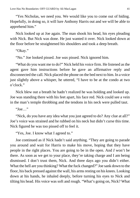"Yes Nicholas, we need you. We would like you to come out of hiding. Hopefully, in doing so, it will lure Anthony Harris out and we will be able to apprehend him."

Nick looked up at Joe again. The man shook his head, his eyes pleading with Nick. But Nick was done. He just wanted it over. Nick looked down at the floor before he straightened his shoulders and took a deep breath.

"Okay."

"No." Joe looked pissed. Joe *was* pissed. Nick ignored him.

"What do you want me to do?" Nick held his voice firm. He listened as the agent gave him instructions before he gave an affirmative reply and disconnected the call. Nick placed the phone on the bed next to him. In a voice just slightly above a whisper, he uttered, "I have to be at the condo at two o'clock."

Nick blew out a breath he hadn't realized he was holding and looked up. Joe was standing there with his feet apart, his face red. Nick could see a vein in the man's temple throbbing and the tendons in his neck were pulled taut.

"Joe…"

"Nick, do you have any idea what you just agreed to do? Any clue at all?" Joe's voice was strained and he rubbed on his neck but didn't curse this time. Nick figured he was too pissed off to feel it.

"Yes, Joe. I know what I agreed to."

Joe continued as if Nick hadn't said anything. "They are going to parade you around and wait for Harris to make his move, hoping that they have people in the right places. You are going to be in the open. And *I* won't be there. As soon as we get to your place, they're taking charge and I am being dismissed. I don't trust them, Nick. And three days ago you didn't either. What the hell are you thinking? What the fuck changed?" Joe sank down to the floor, his back pressed against the wall, his arms resting on his knees. Looking down at his hands, he inhaled deeply, before turning his eyes to Nick and tilting his head. His voice was soft and rough. "What's going on, Nick? What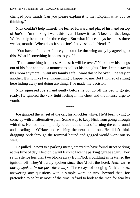changed your mind? Can you please explain it to me? Explain what you're thinking."

Nick couldn't help himself; he leaned forward and placed his hand on top of Joe's. "I'm thinking I want this over. I know it hasn't been all that long. We've only been here for three days. But what if three days becomes three weeks, months. When does it stop, Joe? I have school, friends."

"You have a future. A future you could be throwing away by agreeing to this. What if something happens to you?"

"Then something happens. At least it will be over." Nick blew his bangs out of his face and took a moment to collect his thoughts. "Joe, I can't stay in this room anymore. I want my family safe. I want this to be over. One way or another. It's not like I want something to happen to me. But I'm tired of sitting here hiding away not doing anything. I've made my decision."

Nick squeezed Joe's hand gently before he got up off the bed to go get ready. He ignored the very tight feeling in his chest and the intense urge to vomit.

\*\*\*\*

Joe gripped the wheel of the car, his knuckles white. He'd been trying to come up with an alternative plan. Some way to keep Nick from going through with this. He hadn't completely ruled out the idea of turning the car around and heading to O'Hare and catching the next plane out. He didn't think dragging Nick through the terminal bound and gagged would work out so well.

He pulled up next to a parking meter, amazed to have found street parking at this time of day. He didn't want Nick to face the parking garage again. They sat in silence less than two blocks away from Nick's building as he turned the ignition off. They'd barely spoken since they'd left the hotel. *Hell, we've barely spoken in the past three days.* Three days of dodging Nick's looks, answering any questions with a simple word or two. Beyond that, Joe pretended to be busy most of the time. Afraid to look at the man for fear his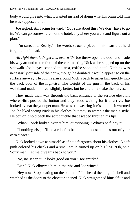body would give into what it wanted instead of doing what his brain told him he was supposed to do.

Joe sighed, still facing forward. "You sure about this? We don't have to go in. We can go somewhere, not the hotel, anywhere you want and figure out a plan."

"I'm sure, Joe. Really." The words struck a place in his heart that he'd forgotten he'd had.

*All right then, let's get this over with*. Joe threw open the door and made his way around to the front of the car, meeting Nick as he stepped up on the sidewalk. Joe's eyes scanned the area, coffee shop, and hotel. Nothing was necessarily outside of the norm, though he doubted it would appear so on the surface anyway. He put his arm around Nick's back to usher him quickly into the back door of the high-rise. The weight of the gun in the back of his waistband made him feel slightly better, but he couldn't shake the nerves.

They made their way through the back entrance to the service elevator, where Nick pushed the button and they stood waiting for it to arrive. Joe looked over at the younger man. He was still wearing Joe's hoodie. It warmed Joe; he liked seeing Nick in his clothes, but they so weren't the man's style. He couldn't hold back the soft chuckle that escaped through his lips.

"What?" Nick looked over at him, questioning. "What's so funny?"

"If nothing else, it'll be a relief to be able to choose clothes out of your own closet."

Nick looked down at himself, as if he'd forgotten about his clothes. A soft pink colored his cheeks and a small smile turned up on his lips. "Oh, shit. Sorry man. Let me give this back to you."

"No, no. Keep it. It looks good on you." Joe smirked.

"Liar." Nick elbowed him in the ribs and Joe winced.

"Hey now. Stop beating on the old man." Joe heard the ding of a bell and watched as the doors to the elevator opened. Nick straightened himself up and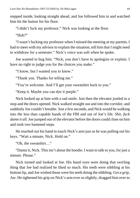stepped inside, looking straight ahead, and Joe followed him in and watched him hit the button for his floor.

"I didn't fuck my professor." Nick was looking at the floor.

"Huh?"

"I wasn't fucking my professor when I missed the meeting at my parents. I had to meet with my advisor to explain the situation, tell him that I might need to withdraw for a semester." Nick's voice was soft when he spoke.

Joe wanted to hug him. "Nick, you don't have to apologize or explain. I have no right to judge you for the choices you make."

"I know, but I wanted you to know."

"Thank you. Thanks for telling me."

"You're welcome. And I'll get your sweatshirt back to you."

"Keep it. Maybe you can dye it purple."

Nick looked up at him with a sad smile. Just then the elevator jostled to a stop and the doors opened. Nick walked straight out and into the corridor, and suddenly Joe couldn't breathe. Just a few seconds, and Nick would be walking into the less than capable hands of the FBI and out of Joe's life. *Shit, fuck damn it all.*Joe jumped out of the elevator before the doors could close on him and took two hastened steps.

He reached out his hand to touch Nick's arm just as he was pulling out his keys. "Wait a minute, Nick. Hold on."

"Oh, the sweatshirt…"

"Damn it, Nick. This isn't about the hoodie. I want to talk to you, for just a minute. Please."

Nick turned and looked at Joe. His hazel eyes were doing that swirling thing that Joe had realized he liked so much. His teeth were nibbling at his bottom lip, and Joe wished those were his teeth doing the nibbling. *Get a grip, Joe*. He tightened his grip on Nick's arm ever so slightly, dragged him over to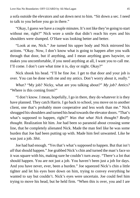a sofa outside the elevators and sat down next to him. "Sit down a sec. I need to talk to you before you go in there."

"Okay, I guess we have a couple minutes. It's not like they're going to start without me, right?" Nick wore a smile that didn't reach his eyes and his shoulders were slumped. O'Hare was looking better and better.

"Look at me, Nick." Joe turned his upper body and Nick mirrored his actions. "Okay. Now, I don't know what is going to happen after you walk through that door, but if anything, and I mean anything goes haywire, or makes you uncomfortable, if you need anything at all, I want you to call me. I'll come. I don't care what time it is, day or night. Okay?"

Nick shook his head. "I'll be fine Joe. I get to that door and your job is over. You can be done with me and my antics. Don't worry about it, really."

*What?* "My job? Nicky, what are you talking about?" *My job? Antics?* "Where is this coming from?"

"I don't know. I mean, hopefully, I go in there, they do whatever it is they have planned. They catch Harris. I go back to school, you move on to another client, one that's probably more cooperative and less work than me." Nick shrugged his shoulders and turned his head towards the elevator doors. "That's what's supposed to happen, right?" *Was that what Nick thought? Really thought.* Realization hit him. Joe had been so paranoid about crossing some line, that he completely alienated Nick. Made the man feel like he was some burden that Joe had been putting up with. Made him feel unwanted. Like he was just a job. *Shit*.

Joe had had enough. "Yes that's what's supposed to happen. But that isn't *all* that should happen." Joe grabbed Nick's chin and turned the man's face so it was square with his, making sure he couldn't turn away. "There's a lot that should happen. You are not just a job. You haven't been just a job for days. And you have never, ever, been a burden." Joe squeezed Nick's chin a little tighter and let his eyes bore down on him, trying to convey everything he wanted to say but couldn't. Nick's eyes were uncertain. Joe could feel him trying to move his head, but he held firm. "When this is over, you and I are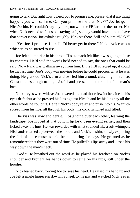going to talk. But right now, I need you to promise me, please, that if anything happens you will call me. Can you promise me that, Nick?" Joe let go of Nick's chin. He couldn't say anymore, not with the FBI around the corner. Not when Nick needed to focus on staying safe, so they would have time to have that conversation. Joe exhaled roughly. Nick sat there. Still and silent. "Nick?"

"Yes Joe. I promise. I'll call. I'd better get in there." Nick's voice was a whisper, as he started to rise.

Joe felt a lump rise in his throat. His stomach felt like it was going to lose its contents. He'd said the words he'd needed to say, the ones that could be said. Now Nick was walking away from him. If the FBI screwed up, it could be the last time. Joe's body was moving before he could process what he was doing. He grabbed Nick's arm and twirled him around, clutching him close. Chest-to-chest, thigh-to-thigh. Joe's hand pressed into the small of the man's back.

Nick's eyes were wide as Joe lowered his head those few inches. Joe let his eyes drift shut as he pressed his lips against Nick's and let his lips say all the other words he couldn't. He felt Nick's body relax and push into his. Warmth spread from his lips, all through his body, his cock twitched and filled.

The kiss was slow and gentle. Lips gliding over each other, learning the landscape. Joe nipped at that bottom lip he'd been eyeing earlier, and then licked away the hurt. He was rewarded with what sounded like a soft whimper. His hands roamed up between the hoodie and Nick's T-shirt, slowly exploring the feel of those muscles he'd been admiring for days. He groaned as he remembered that they were out of time. He pulled his lips away and kissed his way down the man's neck.

"God." He breathed out the word as he placed his forehead on Nick's shoulder and brought his hands down to settle on his hips, still under the hoodie.

Nick leaned back, forcing Joe to raise his head. He raised his hand up and Joe felt a single finger run down his cheek to his jaw and watched Nick's eyes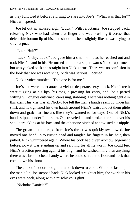as they followed it before returning to stare into Joe's. "What was that for?" Nick whispered.

Joe let out an amused sigh. "Luck." With reluctance, Joe stepped back, releasing Nick who had taken that finger and was brushing it across that delectable bottom lip of his, and shook his head slightly like he was trying to solve a puzzle.

"Luck. Huh?"

"Luck, Nicky. Luck." Joe gave him a small smile as he reached out and took Nick's hand in his. He turned and took a step towards Nick's apartment but was yanked back and straight into Nick's arms. There was no confusion in the look that Joe was receiving. Nick was serious. Focused.

Nick's voice rumbled. "This one is for me."

Joe's lips were under attack, a vicious desperate, sexy attack. Nick's teeth were tugging at his lips, his tongue pressing for entry, and Joe's parted willingly. Tongues entwined, caressing, stabbing. There was nothing gentle in this kiss. This kiss was all Nicky. Joe felt the man's hands reach up under his shirt, and he tightened his own hands around Nick's waist and let them glide down and grab that fine ass like they'd wanted to for days. One of Nick's hands slipped under Joe's shirt. One traveled up and stroked the skin over his shoulder tickling at his back and the other one pinched and twisted his nipple.

The groan that emerged from Joe's throat was quickly swallowed. Joe moved one hand up to Nick's head and tangled his fingers in his hair, then pulled. Nick whimpered again. Where his cock had given acknowledgement before, now it was standing up and saluting for all its worth. Joe could feel Nick's erection pressing against his thigh, and he wished more than anything there was a broom closet handy where he could sink to the floor and suck that cock down his throat.

The click of a door brought him back down to earth. With one last nip of the man's lip, Joe stepped back. Nick looked straight at him; the swirls in his eyes were back, along with a mischievous glint.

"Nicholas Daniels?"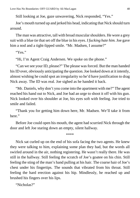Still looking at Joe, gaze unwavering, Nick responded, "Yes."

Joe's mouth turned up and jerked his head, indicating that Nick should turn around.

The man was attractive, tall with broad muscular shoulders. He wore a grey suit with a blue tie that set off the blue in his eyes. *I fucking hate him.* Joe gave him a nod and a tight-lipped smile. "Mr. Madsen, I assume?"

"Yes."

"Hi, I'm Agent Craig Andersen. We spoke on the phone."

"Can we see your ID, please?" The please was forced. But the man handed his ID over, obviously anticipating the question. Joe looked down at it intently, almost wishing he could spot an irregularity so he'd have justification to drag Nick away. The ID was real. Joe sighed as he handed it back.

"Mr. Daniels, why don't you come into the apartment with me?" The agent reached his hand out to Nick, and Joe had an urge to shoot it off with his gun. Nick looked over his shoulder at Joe, his eyes soft with feeling. Joe tried to smile and failed.

"Thank you for getting him down here, Mr. Madsen. We'll take it from here."

Before Joe could open his mouth, the agent had scurried Nick through the door and left Joe staring down an empty, silent hallway.

\*\*\*\*

Nick sat curled up on the end of his sofa facing the two agents. He knew they were talking to him, explaining some plan they had, but the words all swirled around in the air, nothing registering. He wasn't really there. He was still in the hallway. Still feeling the scratch of Joe's goatee on his chin. Still feeling the sting of the man's hand pulling at his hair. The coarse hair of Joe's chest under his fingertips. The sounds that vibrated from his throat. Still feeling the hard erection against his hip. Mindlessly, he reached up and brushed his fingers over his lips.

"Nicholas?"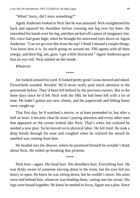"What? Sorry, did I miss something?"

Agent Andersen looked at Nick like he was annoyed. Nick straightened his back and squared his shoulders before crossing one leg over his knee. He smoothed his hands over his leg, and then picked off a piece of imaginary lint. His voice had gone high, when he brought his narrowed eyes down on Agent Andersen. "Can we go over this from the top? I think I missed a couple things. You know how it is. So much going on around me. FBI agents with all their energy, and their big, um, guns. I get a little distracted." Agent Andersen gave him an eye roll. Nick smiled on the inside.

*Whatever.* 

\*\*\*\*

Joe looked around his yard. It looked pretty good. Grass mowed and raked. Flowerbeds weeded. *Weeded.* He'd never really paid much attention to the perennials before. They'd been left behind by the previous owners. But in the three days since he'd left Nick with the FBI, he had been left with a lot of time. He hadn't gotten any new clients, and the paperwork and billing hours were caught up.

That first day, he'd watched a movie, or at least pretended to, but after a half an hour, it became clear he wasn't paying attention and every other man that appeared on the screen looked like Nick. That's when Joe realized he needed a new plan. So he moved on to physical labor. He felt tired. He took a deep breath through his nose and coughed when he realized the stench he smelled was coming from him.

He headed into the shower, where he promised himself he wouldn't think about Nick. He ended up breaking that promise.

\*\*\*\*

Nick hurt—again. His head hurt. His shoulders hurt. Everything hurt. He was dimly aware of someone moving about in the room, but his eyes felt too heavy to open. He knew he was sitting down, but he couldn't move. His arms were tied behind him, whatever was binding them, cutting into his wrists. His legs were bound together. He knew he needed to focus, figure out a plan. Since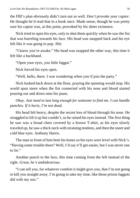the FBI's plan obviously didn't turn out so well. *Don't provoke your captor*. He thought he'd read that in a book once. Made sense, though he was pretty sure his captor was, at this point, provoked by his sheer existence.

Nick tried to open his eyes, only to shut them quickly when he saw the fist that was barreling towards his face. His head was snapped back and his eye felt like it was going to pop. *Shit.*

"I know you're awake." His head was snapped the other way, this time it felt like a backhand.

"Open your eyes, you little faggot."

Nick forced his eyes open.

"Well, hello, there. I was wondering when you'd join the party."

Nick looked back down at the floor, praying the spinning would stop. His world spun more when the fist connected with his nose and blood started pouring out and down onto his jeans.

*Okay. Just need to last long enough for someone to find me. I can handle punches. If it hurts, I'm not dead.*

His head felt heavy, despite the recent loss of blood through his nose. He struggled to lift it up but couldn't, so he raised his eyes instead. The first thing he saw was a broad chest covered by a brown T-shirt, as his eyes slowly traveled up, he saw a thick neck with straining tendons, and then the sneer and cold blue eyes. Anthony Harris.

The man in front of him bent his knees so his eyes were level with Nick's. "Having some trouble there? Well, I'd say it'll get easier, but I was never one to lie."

Another punch to the face, this time coming from the left instead of the right. *Great, he's ambidextrous.*

"I can tell you, for whatever comfort it might give you, that I'm not going to kill you straight away. I'm going to take my time, like those prison faggots did with my son."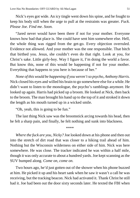Nick's eyes got wide. An icy tingle went down his spine, and he fought to keep his body still when the urge to pull at the restraints was greater. *Fuck. Please Joe. Find me. Soon.*

"Jared never would have been there if not for your mother. Everyone knows how bad that place is. She could have sent him somewhere else. Hell, the whole thing was rigged from the get-go. Every objection overruled. Evidence not allowed. And your mother was the one responsible. That bitch that birthed you. Jesus, she couldn't even do that right. Look at you, for Christ's sake. Little girly-boy. Way I figure it, I'm doing the world a favor. But know this, none of this would be happening if not for your mother. Everything that happens to you here is because of her."

*None of this would be happening if you weren't so psycho, Anthony Harris.* Nick closed his eyes and willed his brain to go somewhere else for a while. He didn't want to listen to the monologue, the psycho's ramblings anymore. He looked up again. Harris had picked up a broom. He looked at Nick, then back to the broom. The man brought his hand up to the top of it and stroked it down the length as his mouth turned up in a wicked smile.

"Oh, yeah, this is going to be fun."

The last thing Nick saw was the broomstick arcing towards his head, then he felt a sharp pain, and finally, he felt nothing and sunk into blackness.

\*\*\*\*

*Where the fuck are you, Nicky?* Joe looked down at his phone and then out into the stretch of dirt road that was closer to a hiking trail ahead of him. Nothing but the Wisconsin wilderness on either side of him. Nick was here somewhere. He was close. The tracker indicated he was within a half mile, though it was only accurate to about a hundred yards. Joe kept scanning as the SUV bumped along. *Come on, come on.*

Two hours ago, he'd just gotten out of the shower when his phone buzzed at him. He picked it up and his heart sank when he saw it wasn't a call he was receiving, but the tracking beacon. Nick had activated it. Thank Christ he still had it. Joe had been out the door sixty seconds later. He texted the FBI when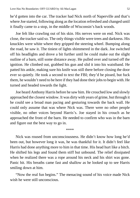he'd gotten into the car. The tracker had Nick north of Naperville and that's where Joe started, following along as the location refreshed and changed until it finally came to a stop, in the middle of Wisconsin's back woods.

Joe felt like crawling out of his skin. His nerves were on end. Nick was close, the tracker said so. The only things visible were trees and darkness. His knuckles were white where they gripped the steering wheel. Bumping along the road, he saw it. The tiniest of lights shimmered in the dark. Joe switched off his headlights and drove a bit further until he could make out the slight outline of a barn, still some distance away. He pulled over and turned off the ignition. He climbed out, grabbed his gun and slid it into his waistband. He patted his ankle, making sure his knife was still there before closing the door ever so quietly. He took a second to text the FBI; they'd be pissed, but fuck them, he wouldn't need to be here if they had done their jobs to begin with. He turned and headed towards the light.

Joe heard Anthony Harris before he saw him. He crouched low and slowly approached the closest window. It was dirty with years of grime, but through it he could see a broad man pacing and gesturing towards the back wall. He could only assume that was where Nick was. There were no other people visible, no other voices beyond Harris's. Joe stayed in his crouch as he approached the front of the barn. He needed to confirm who was in the barn and figure out the best way to go in.

\*\*\*\*

Nick was roused from unconsciousness. He didn't know how long he'd been out, but however long it was, he was thankful for it. It didn't feel like Harris had done anything more to him in that time. His head hurt like a bitch. He shifted his legs and found them stiff but unbound. The relief dissipated when he realized there was a rope around his neck and his shirt was gone. Panic hit. His breaths came fast and shallow as he looked up to see Harris smiling down at him.

"Now the real fun begins." The menacing sound of his voice made Nick wish he were still unconscious.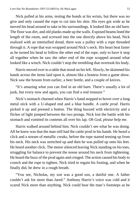Nick pulled at his arms, testing the bonds at his wrists, but there was no give and only caused the rope to cut into his skin. His eyes got wide as he moved his head around to take in his surroundings. It looked like an old barn. The floor was dirt, and old planks made up the walls. Exposed beams lined the length of the room, and screwed into the one directly above his head, Nick realized with an intensified dread, there was a pulley with a rope threaded through it. A rope that was wrapped around Nick's neck. His heart beat faster as he turned his head to follow the other end of the rope, only to have it stop all together when he saw the other end of the rope wrapped around what looked like a winch. Nick couldn't stop the trembling that overtook his body.

Harris moved over to a table that stood on his left. Slowly, he skimmed his hands across the items laid upon it, almost like a hostess from a game show. Nick saw the broom from earlier, a beer bottle, and a couple of knives.

"It's amazing what you can find in an old barn. There's usually a lot of junk, but every now and again, you can find a real treasure."

Nick's stomach churned when Harris's hand stopped to hover over a long metal stick with a U-shaped end and a blue handle. *A cattle prod*. Harris picked it up and pressed a button. The thing buzzed with electricity and a flicker of light jumped between the two prongs. Nick lost the battle with his stomach and vomited its contents all over his lap. *Oh God, please help me.*

Harris walked around behind him. Nick couldn't see what he was doing. All he knew was that the man still had the cattle prod in his hands. He heard a click and a stream of metallic creaks, before the rope started tensing up from his neck. His neck was stretched up and then he was pulled up onto his feet. He heard another click. The motor silenced leaving Nick standing on his toes, struggling for balance to prevent the noose around his neck from tightening. He heard the buzz of the prod again and cringed. The action caused his body to crunch and the rope to tighten. Nick tried to regain his footing, and when he finally did, he drew in a rough breath.

"You see, Nicholas, my son was a good son, a dutiful one. A father couldn't ask for more than Jared." Anthony Harris's voice was cold and it scared Nick more than anything. Nick could hear the man's footsteps as he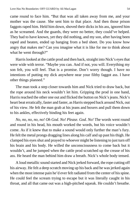came round to face him. "But that was all taken away from me, and your mother was the cause. She sent him to that place. And then those prison faggots raped him. Held him down, shoved their dicks in his ass, ignored him as he screamed. And the guards, they were no better, they could've helped. They had to have known, yet they did nothing, and my son, after having been raped and beaten, ended up hanging from a bed sheet. Do you know how angry that makes me? Can you imagine what it is like for me to think about what he went through?"

Harris looked at the cattle prod and then back, straight into Nick's eyes that were wide with terror. "Maybe you can. And if not, you will. Everything my son felt, you will feel. That is a promise. Don't worry though. I have no intentions of putting my dick anywhere near your filthy faggot ass. I have other things planned."

The man took a step closer towards him and Nick tried to draw back, but the rope around his neck wouldn't let him. Gripping the prod in one hand, Harris reached the other one out and flicked the button on Nick's jeans. Nick's heart beat erratically, faster and faster, as Harris stepped back around Nick, out of his view. He felt the man grab at his jeans and boxers and pull them down to his ankles, effectively binding his feet again.

*No, no, no, no, no! Oh God. No! Please. God. No!* The words went round and round in his head, his mouth worked the words, but his voice wouldn't come. As if it knew that to make a sound would only further the man's fury. He felt the metal prongs dragging lines along his calf and up past his thigh. He clamped his eyes shut and prayed to whoever might be listening to just turn off his brain and his body. He willed the unconsciousness to come back but it wouldn't, and he jumped when the cattle prod scratched up the crease of his ass. He heard the man behind him draw a breath. Nick's whole body tensed.

A loud metallic sound started and Nick jerked forward, the rope cutting off his airway. He felt a deep scratch moving up his back and he was jerked again when the most intense pain he'd ever felt radiated from the center of his spine. He could feel the scream trying to escape but it was literally caught in his throat, and all that came out was a high-pitched squeak. He couldn't breathe.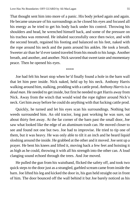That thought sent him into more of a panic. His body jerked again and again. He became unaware of his surroundings as he closed his eyes and focused all his energy as he tried to get his body back under his control. Throwing his shoulders and head, he wrenched himself back, and some of the pressure on his trachea was removed. He inhaled successfully once then twice, and with the second breath, regained his footing and balanced on his feet, naked with the rope around his neck and the pants around his ankles. He took a breath. Sweeter air than he'd ever tasted traveled from his mouth to his lungs. Another breath, and another, and another. Nick savored that sweet taste and momentary peace. Then he opened his eyes.

\*\*\*\*

Joe had felt his heart stop when he'd finally found a hole in the barn wall that let him peer inside. Nick naked, held up by his neck. Anthony Harris walking around him, stalking, prodding with a cattle prod. *Anthony Harris is a dead man*. He needed to get inside, but first he needed to get Harris away from Nick. Away from the winch that would wind the rope tighter around Nick's neck. Get him away before he could do anything with that fucking cattle prod.

Quickly, he turned and let his eyes scan his surroundings. Nothing but weeds surrounded him. An old tractor, long past working he was sure, sat about thirty feet away. At the far corner of the barn past the small door, Joe saw what looked like the edge of an aluminum trash can. He moved closer to see and found not one but two. Joe had to improvise. He tried to tip one of them, but it was heavy. He was only able to tilt it an inch and he heard liquid sloshing around the inside. He grabbed at the other and it moved. Joe sent up a prayer. He bent his knees and lifted it, moving back a few feet and hoisting it as high as he could, throwing it with all his strength into the other can. A loud clanging sound echoed through the trees. And Joe moved.

He pulled the gun from his waistband, flicked the safety off, and took two quick steps to the door just as a strangled, garbled scream came from inside the barn. Joe lifted his leg and kicked the door in, his gun held straight out in front of him. The door bounced off the wall behind it but Joe barely noticed as his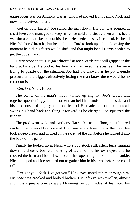entire focus was on Anthony Harris, who had moved from behind Nick and now stood between them.

"Get on your knees." Joe stared the man down. His gun was pointed at chest level. Joe managed to keep his voice cold and steady even as his heart was threatening to beat out of his chest. He needed to stay in control. He heard Nick's labored breaths, but he couldn't afford to look up at him, knowing the moment he did, his focus would shift, and that might be all Harris needed to get the upper hand.

Harris stood there. His gaze directed at Joe's, cattle prod still gripped in the hand at his side. He cocked his head and narrowed his eyes, as if he were trying to puzzle out the situation. Joe had the answer, as he put a gentle pressure on the trigger, effectively letting the man know there would be no compromise.

"Get. On. Your. Knees."

The corner of the man's mouth turned up slightly. Joe's brows knit together questioningly, but the other man held his hands out to his sides and his hand loosened slightly on the cattle prod. He made to drop it, but instead, swung his hand back and flung it forward as he charged. Joe squeezed the trigger.

The prod went wide and Anthony Harris fell to the floor, a perfect red circle in the center of his forehead. Brain matter and bone littered the floor. Joe took a deep breath and clicked on the safety of the gun before he tucked it into the back of his pants.

Finally he looked up at Nick, who stood stock still, silent tears running down his cheeks. Joe felt the sting of tears behind his own eyes, and he crossed the barn and bent down to cut the rope using the knife at his ankle. Nick slumped and Joe reached out to gather him in his arms before he could fall.

"I've got you, Nick. I've got you." Nick eyes stared at him, through him. His nose was crooked and looked broken. His left eye was swollen, almost shut. Ugly purple bruises were blooming on both sides of his face. Joe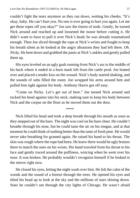couldn't fight the tears anymore as they ran down, wetting his cheeks. "It's okay, baby. He can't hurt you. No one is ever going to hurt you again. Let me get these ropes off you okay?" Joe saw the tiniest of nods. Gently, he turned Nick around and reached up and loosened the noose before cutting it. He didn't want to have to pull it over Nick's head; he was already traumatized enough. Then Joe sliced through the rope at Nick's wrists and fought to keep his breath silent as he looked at the angry abrasions they had left there. *Oh. Nicky.* He bent down and grabbed the pants at Nick's ankles and gently pulled them up.

His eyes leveled on an ugly gash running from Nick's ass to the middle of his back where it ended in a burn mark left from the cattle prod. Joe leaned over and placed a tender kiss on the wound. Nick's body started shaking, and the sounds of sobs filled the room. Joe wrapped his arms around him and pulled him tight against his body. Anthony Harris got off easy.

"Come on Nicky. Let's get out of here." Joe turned Nick around and tucked his head against into his neck, making sure to keep his body between Nick and the corpse on the floor as he moved them out the door.

\*\*\*\*

Nick lifted his head and took a deep breath through his mouth as soon as they stepped out of the barn. The night was cool on his bare chest. He couldn't breathe through his nose, but he could taste the air on his tongue, and at that moment he could think of nothing better than the taste of fresh pine. He would never take breathing for granted again. He raised his hand to his throat. The skin was rough where the rope had been. He knew there would be ugly bruises there to match the ones on his wrists. His hand traveled from his throat to his face and gently traced around the puffiness, wincing when he went over his nose. It was broken. He probably wouldn't recognize himself if he looked in the mirror right now.

He closed his eyes, letting the night wash over him. He felt the calm of the woods and the sound of a breeze through the trees. He opened his eyes and tilted his head up to look at the sky and the millions of stars shining down. Stars he couldn't see through the city lights of Chicago. He wasn't afraid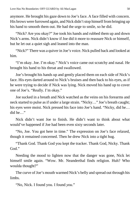anymore. He brought his gaze down to Joe's face. A face filled with concern. His brows were furrowed again, and Nick didn't stop himself from bringing up his hand to smooth them out. He had the urge to smile, so he did.

"Nick? Are you okay?" Joe took his hands and rubbed them up and down Nick's arms. Nick didn't know if Joe did it more to reassure Nick or himself, but he let out a quiet sigh and leaned into the man.

"Nick?" There was a quiver in Joe's voice. Nick pulled back and looked at him.

"I'm okay. Joe. I'm okay." Nick's voice came out scratchy and nasal. He brought his hand to his throat and swallowed.

Joe's brought his hands up and gently placed them on each side of Nick's face. His eyes darted around to Nick's bruises and then back to his eyes, as if he were trying to decide if Nick was lying. Nick moved his hand up to cover one of Joe's. "Really. I'm okay."

Joe sucked in a breath and Nick watched as the veins on his forearms and neck started to pulse as if under a large strain. "Nicky…" Joe's breath caught; his eyes were moist. Nick pressed his face into Joe's hand. "Nicky, did he… did he…"

Nick didn't want Joe to finish. He didn't want to think about what would've happened if Joe had been even sixty seconds later.

"No, Joe. You got here in time." The expression on Joe's face relaxed, though it remained concerned. Then he drew Nick into a tight hug.

"Thank God. Thank God you kept the tracker. Thank God, Nicky. Thank God."

Needing the mood to lighten now that the danger was gone, Nick let himself smile again. "Wow. Mr. Neanderthal finds religion. Huh? Who woulda thought?"

The curve of Joe's mouth warmed Nick's belly and spread out through his limb<sub>s</sub>.

"No, Nick. I found you. I found *you*."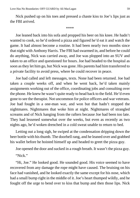Nick pushed up on his toes and pressed a chaste kiss to Joe's lips just as the FBI arrived.

#### \*\*\*\*

Joe leaned back into his sofa and propped his beer on his knee. He hadn't wanted to cook, so he'd ordered a pizza and figured he'd eat it and watch the game. It had almost become a routine. It had been nearly two months since that night with Anthony Harris. The FBI had swarmed in, and before he could do anything, Nick was carried away, and Joe was plopped into an SUV and taken to an office and questioned for hours. Joe had headed to the hospital as soon as they let him go, but Nick was gone. His parents had him transferred to a private facility to avoid press, where he could recover in peace.

Joe had called and left messages, texts. None had been returned. Joe had taken a couple weeks off, and when he went back, he'd taken mainly assignments working out of the office, coordinating jobs and consulting over the phone. He knew he wasn't quite ready to head back to the field. He'd even gone to see the therapist. Not uncommon for police officers and war veterans. Joe had fought in a one-man war, and won but that hadn't stopped the nightmares. Nightmares that woke him at night. Nightmares of strangled screams and of Nick hanging from the rafters because Joe had been too late. They had lessened somewhat over the weeks, but even as recently as two nights ago, he'd woken drenched in a cold sweat unable to return to bed.

Letting out a long sigh, he swiped at the condensation dripping down the beer bottle with his thumb. The doorbell rang, and he leaned over and grabbed his wallet before he hoisted himself up and headed to greet the pizza guy.

Joe opened the door and sucked in a rough breath. It wasn't the pizza guy.

"Nick"

"Hi, Joe." He looked good. He sounded good. His voice seemed to have recovered from any damage the rope might have caused. The bruising on his face had vanished, and he looked exactly the same except for his nose, which had a small bump right in the middle of it. Joe's heart thumped wildly, and he fought off the urge to bend over to kiss that bump and then those lips. Nick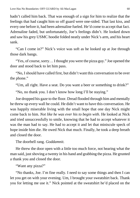hadn't called him back. That was enough of a sign for him to realize that the feelings that had caught him so off guard were one-sided. That last kiss, and every one before it, had been adrenaline fueled. He'd come to accept that fact. Adrenaline faded, but unfortunately, Joe's feelings didn't. He looked down and saw his grey USMC hoodie folded neatly under Nick's arm, and his heart sank.

"Can I come in?" Nick's voice was soft as he looked up at Joe through those dark bangs.

"Yes, of course, sorry… I thought you were the pizza guy." Joe opened the door and stood back to let him pass.

"No, I should have called first, but didn't want this conversation to be over the phone."

"Um, all right. Have a seat. Do you want a beer or something to drink?"

"No, no thank you. I don't know how long I'll be staying."

Joe dropped his gaze to the floor. Dread flooded through him and mentally he threw up every wall he could. He didn't want to have this conversation. He was happily miserable living with the small hope that one day Nick might come back to him. *Not like he was ever his to begin with*. He looked at Nick and tried unsuccessfully to smile, knowing that he had to accept whatever it was the man had to say. He had to accept it and let that miniscule speck of hope inside him die. He owed Nick that much. Finally, he took a deep breath and closed the door.

The doorbell rang. *Goddamnit.*

He threw the door open with a little too much force, not hearing what the man said, just shoving a twenty in his hand and grabbing the pizza. He grunted a thank you and closed the door.

"Want any pizza?"

"No thanks, Joe. I'm fine really. I need to say some things and then I can let you get on with your evening. Um, I brought your sweatshirt back. Thank you for letting me use it." Nick pointed at the sweatshirt he'd placed on the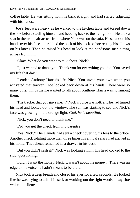coffee table. He was sitting with his back straight, and had started fidgeting with his hands.

Joe's feet were heavy as he walked to the kitchen table and tossed down the box before steeling himself and heading back to the living room. He took a seat in the armchair across from where Nick was on the sofa. He scrubbed his hands over his face and rubbed the back of his neck before resting his elbows on his knees. Then he raised his head to look at the handsome man sitting across from him.

"Okay. What do you want to talk about, Nick?"

"I just wanted to thank you. Thank you for everything you did. You saved my life that day."

"I ended Anthony Harris's life, Nick. You saved your own when you activated that tracker." Joe looked back down at his hands. There were so many other things that he wanted to talk about. Anthony Harris was not among them.

"The tracker that you gave me…" Nick's voice was soft, and he had turned his head and looked out the window. The sun was starting to set, and Nick's face was glowing in the orange light. *God, he is beautiful.*

"Nick, you don't need to thank me."

"Did you get the check from my parents?"

"Yes, Nick." The Daniels had sent a check covering his fees to the office. Another check totaling more than three times his annual salary had arrived at his home. That check remained in a drawer in his desk.

"But you didn't cash it?" Nick was looking at him, his head cocked to the side, questioning.

"I didn't want the money, Nick. It wasn't about the money." There was an edge to his voice he hadn't meant to be there.

Nick took a deep breath and closed his eyes for a few seconds. He looked like he was trying to calm himself, or working out the right words to say. Joe waited in silence.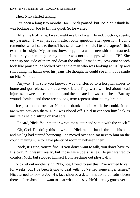Then Nick started talking.

"It's been a long two months, Joe." Nick paused, but Joe didn't think he was looking for Joe to fill the quiet. So he waited.

"After the FBI came, I was caught in a bit of a whirlwind. Doctors, agents, my parents… It was just room after room, question after question. I don't remember what I said to them. They said I was in shock. I tend to agree." Nick exhaled in a sigh. "My parents showed up, and a whole new shit storm started. I'm sure you can imagine my mother was not too happy with the FBI. She went up one side of them and down the other. It made my cow cunt speech look like praise." Joe looked over at the man who was looking at his lap and smoothing his hands over his jeans. He thought he could see a hint of a smile on Nick's mouth.

"Anyway, I'm sure you know, I was transferred to a hospital closer to home and got released about a week later. They were worried about head injuries, between the car bombing and the repeated blows to the head. But my wounds healed, and there are no long-term repercussions to my brain."

Joe just looked over at Nick and drank him in while he could. It felt awkward between them. Nick was closed off. He'd never seen him look as unsure as he did sitting on that sofa.

"I heard, Nick. Your mother wrote me a letter and sent it with the check."

"Oh, God, I'm doing this all wrong." Nick ran his hands through his hair, and his leg had started bouncing. Joe moved over and sat next to him on the couch making sure to leave plenty of room in between them.

"Nick, it's fine, you're fine. If you don't want to talk, you don't have to. It's okay." It wasn't really, but those were Joe's issues. He just wanted to comfort Nick, but stopped himself from reaching out physically.

Nick let out another sigh. "No, Joe, I need to say this. I've wanted to call for weeks, but I've been trying to deal with… I've had some anger issues." Nick turned to look at Joe. His face showed a determination that hadn't been there before. Joe didn't want to hear what he'd say. He'd already gone over all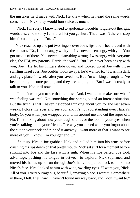the mistakes he'd made with Nick. He knew when he heard the same words come out of Nick, they would hurt twice as much.

"Nick, I'm sorry. I know I need to apologize, I couldn't figure out the right words to say how sorry I am, that I let you get hurt. That I wasn't there to stop him from taking you. I'm..."

Nick reached up and put two fingers over Joe's lips. Joe's heart raced with the contact. "No, I'm not angry with you. I've never been angry with you. You got me out of there. You never did anything wrong. I was angry with everyone else, the FBI, my parents, Harris, the world. But I've never been angry with you, Joe." He let his fingers slide down, and looked up at Joe with those swirling hazel eyes. Joe couldn't look away if he'd wanted to. "I was in a dark and ugly place for weeks after you saved me. But I'm working through it. I've been talking to some people, and they are helping me. But I wasn't ready to talk to you. Not until now.

"I didn't want you to see that ugliness. And, I wanted to make sure what I was feeling was real. Not something that sprang out of an intense situation. But the truth is that I haven't stopped thinking about you for the last seven weeks. I close my eyes and see you, and it's not you standing over Harris's body. Or you when you wrapped your arms around me and cut the ropes off. No, I'm thinking about how your laugh sounds or the look in your eyes when you're talking about your friends. The way you cursed when you forgot about the cut on your neck and rubbed it anyway. I want more of that. I want to see more of you. I know I'm younger and…"

"Shut up, Nick." Joe grabbed Nick and pulled him into his arms before crushing his lips down on that pretty mouth. Nick sat stiff for a moment before sinking into Joe and the kiss with a sigh. When his lips parted, Joe took advantage, pushing his tongue in between to explore. Nick squirmed and moved his hands up to run through Joe's hair. Joe pulled back to look into Nick's face. Nick looked at him with wide, swirling eyes. "I want you, Nick. All of you. Every outrageous, beautiful, amazing piece. I want it. Somewhere in there, I fell. I fell hard. I haven't found my way back, and I don't want to."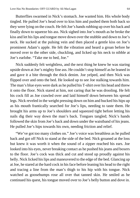Butterflies swarmed in Nick's stomach. Joe wanted him. His whole body tingled. He pulled Joe's head over to kiss him and pushed them both back so they were lying on the couch. He felt Joe's hands rubbing up over his back and finally down to squeeze his ass. Nick sighed into Joe's mouth as he broke the kiss and let his lips and tongue move down over the stubble and down to Joe's neck. He sucked at the pulsing vein and then placed a gentle kiss on Joe's prominent Adam's apple. He felt the vibration and heard a groan before he moved over to the other side, chuckling, and licked up his neck to nibble at Joe's earlobe. "Take me to bed, Joe."

Nick suddenly felt weightless, and the next thing he knew he was staring upside down at Joe's mighty fine ass. He couldn't stop himself as he leaned in and gave it a bite through the thick denim. Joe yelped, and then Nick was flipped over and onto the bed. He looked up to see Joe stalking towards him. The man's blue eyes were dark as he pulled his T-shirt over his head and threw it onto the floor. Nick stared at him, not caring that he was drooling. He felt his cock fill as Joe crawled over and laid himself down between his spread legs. Nick reveled in the weight pressing down on him and bucked his hips up as his mouth frantically searched for Joe's lips, needing to taste them. He brought his arms up to Joe's shoulders and squeezed tight before letting his nails dig their way down the man's back. Tongues tangled; Nick's hands followed the skin from Joe's back and down under the waistband of his jeans. He pulled Joe's hips towards his own, needing friction and relief.

"We've got too many clothes on." Joe's voice was breathless as he pulled back and got off Nick to stand at the side of the bed. Nick groaned at the loss but knew it was worth it when the sound of a zipper reached his ears. Joe looked into his eyes, never breaking contact as he pushed his jeans and boxers to the floor. Joe's cock was thick and cut and stood up proudly against his belly. Nick licked his lips and maneuvered to the edge of the bed. Glancing up at Joe, he stared at the hard cock in his face before leaning his head to the right and tracing a line from the man's thigh to his hip with his tongue. Nick watched as goosebumps rose all over that tanned skin. He smiled as he continued his quest, his tongue moved over to Joe's belly button and dove in.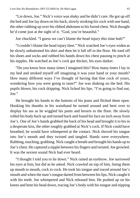"Lie down, Joe." Nick's voice was shaky and he didn't care. He got up off the bed and Joe lay down on his back, slowly stroking his cock with one hand, the other rubbing up over his ribbed abdomen to his furred chest. Nick thought he'd come just at the sight of it. "God, you're beautiful."

Joe chuckled. "I guess we can't blame the head injury this time huh?"

"I couldn't blame the head injury then." Nick watched Joe's eyes widen as he slowly unbuttoned his shirt and then let it fall off to the floor. He toed off his shoes and socks and rubbed his hands down his chest pausing to pinch at his nipples. He watched as Joe's cock got thicker, his eyes darker.

"Do you know how many times I imagined this? How many times I lay in my bed and stroked myself off imagining it was your hand or your mouth? How many different ways I've thought of having that fine cock of yours, wondering how you were going to taste?" Joe was shaking on the bed. His pupils blown, his cock dripping. Nick licked his lips. "I'm going to find out, Joe."

He brought his hands to the buttons of his jeans and flicked them open. Hooking his thumbs in his waistband he turned around and bent over to display his ass as he wiggled his pants and boxers to the floor. He slowly rolled his body back up and turned back and found his face an inch away from Joe's. One of Joe's hands grabbed the back of his head and brought it to his in a desperate kiss, the other roughly grabbed at Nick's cock. If Nick could have breathed, he would have whimpered at the contact. Nick shoved his tongue into Joe's mouth and they twisted and tangled. Hands were everywhere. Rubbing, touching, grabbing. Nick caught a breath and brought his hands up to Joe's chest. He captured a nipple between his fingers and twisted. Joe growled. It was the sexiest sound Nick had ever heard.

"I thought I told you to lie down." Nick raised an eyebrow. Joe narrowed his eyes at him, but did as he asked. Nick crawled on top of him, lining them up mouth to mouth, cock to cock. He took his tongue and traced around Joe's mouth and when the man's tongue darted from between his lips, Nick caught it with his teeth. Joe whimpered and Nick released him. He pushed up on his knees and bent his head down, tracing Joe's body with his tongue and nipping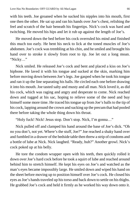with his teeth. Joe groaned when he sucked his nipples into his mouth, first one then the other. He sat up and ran his hands over Joe's chest, relishing the feel and scratch of the hair beneath his fingertips. Nick's cock was hard and twitching. He moved his hips and let it rub up against the length of Joe's.

He moved down the bed before his cock overruled his mind and finished this much too early. He bent his neck to lick at the toned muscles of Joe's abdomen. Joe's cock was trembling at his chin, and he smiled and brought his hand over to stroke it slowly from root to tip. Joe let out a long moan. "Nicky…"

Nick smiled. He released Joe's cock and bent and placed a kiss on Joe's hipbone. He laved it with his tongue and sucked at the skin, marking him before moving down between Joe's legs. Joe gasped when he took his tongue and ran it up the line separating his balls. He circled each one before drawing it into his mouth. Joe tasted salty and musty and all man. Nick loved it, as did his cock, which was raging and angry and desperate to come. Nick reached down and tugged at his sac, hoping to relieve some of the need and buy himself some more time. He traced his tongue up from Joe's balls to the tip of his cock, lapping around the crown and sucking up the precum that had pooled there before taking the whole thing down his throat.

"Holy fuck! Nick! Jesus stop. Don't stop. Nick, I'm gonna…"

Nick pulled off and clamped his hand around the base of Joe's dick. "Oh no you don't, not yet. Where's the stuff, Joe?" Joe reached a shaky hand over and fumbled in a drawer of the bedside table then threw a strip of condoms and a bottle of lube at Nick. Nick laughed. "Ready, huh?" Another growl. Nick's cock poked up at his belly.

He tore the condom wrapper open with his teeth, then quickly rolled it down over Joe's hard cock before he took a squirt of lube and reached around behind him to stretch himself. He kept his eyes on Joe's and watched as the man's eyes became impossibly large. He smiled down and wiped his hand on the sheet before moving up to position himself over Joe's cock. He closed his eyes as Joe's hands traveled up his torso and back down to settle on his thighs. He grabbed Joe's cock and held it firmly as he worked his way down onto it.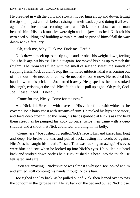He breathed in with the burn and slowly moved himself up and down, letting the tip slip in just an inch before raising himself back up and doing it all over again. Joe's breath was coming hard, and Nick looked down at the man beneath him. His neck muscles were tight and his jaw clenched. Nick felt his own need building and building within him, and he pushed himself all the way down with a feral cry.

"Oh, fuck me, baby. Fuck me. Fuck me. Hard."

Nick drew himself up to the tip again and crashed his weight down, feeling Joe's balls against his ass. He did it again. Joe moved his hips up to match the rhythm. The room was filled with the smell of sex and sweat, the sounds of slapping flesh. Nick couldn't stop the mumbled gibberish that was coming out of his mouth. He needed to come. He needed to come now. He reached his hand down to his prick and Joe batted it away. He gasped as the man stroked his length, twisting at the end. Nick felt his balls pull up tight. "Oh yeah, God, Joe. Please I need… I need…"

"Come for me, Nicky. Come for me now."

And Nick did. He came with a scream. His vision filled with white and he covered Joe's hairy chest with streams of cum. He rocked his hips once more, and Joe's deep groan filled the room, his hands grabbed at Nick's ass and held them steady as he pumped his cock up once, twice then came with a deep shudder and a shout that Nick could feel vibrating in his belly.

"Come here." Joe pushed up, pulled Nick's face to his, and kissed him long and deep. He broke the kiss and pulled back, resting his forehead against Nick's as he caught his breath. "Jesus. That was fucking amazing." His eyes were blue and soft when he looked up into Nick's eyes. He pulled his head back and stroked down Nick's hair. Nick pushed his head into the touch. He felt sated and safe.

"You are amazing." Nick's voice was almost a whisper. Joe looked at him and smiled, still combing his hands through Nick's hair.

Joe sighed and lay back, as he pulled out of Nick, then leaned over to toss the condom in the garbage can. He lay back on the bed and pulled Nick close.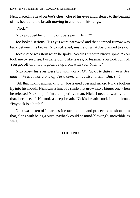Nick placed his head on Joe's chest, closed his eyes and listened to the beating of his heart and the breath moving in and out of his lungs.

"Nick?"

Nick propped his chin up on Joe's pec. "Hmm?"

Joe looked serious. His eyes were narrowed and that damned furrow was back between his brows. Nick stiffened, unsure of what Joe planned to say.

Joe's voice was stern when he spoke. Needles crept up Nick's spine. "You took me by surprise. I usually don't like teases, or teasing. You took control. You got off on it too. I gotta be up front with you, Nick..."

Nick knew his eyes were big with worry. *Oh, fuck. He didn't like it, Joe didn't like it. It was a one off. He'd come on too strong. Shit, shit, shit.*

"All that licking and sucking…" Joe leaned over and sucked Nick's bottom lip into his mouth. Nick saw a hint of a smile that grew into a bigger one when he released Nick's lip. "I'm a competitive man, Nick. I need to warn you of that, because…" He took a deep breath. Nick's breath stuck in his throat. "Payback is a bitch."

Nick was taken off guard as Joe tackled him and proceeded to show him that, along with being a bitch, payback could be mind-blowingly incredible as well.

# **THE END**